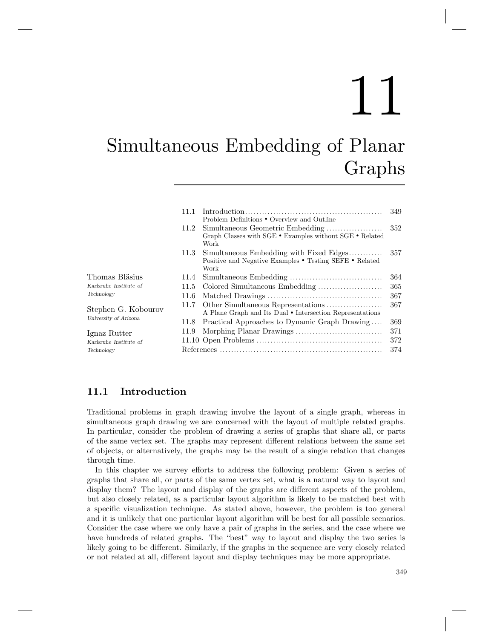# 11

# Simultaneous Embedding of Planar Graphs

|                        | 11.1 | Problem Definitions • Overview and Outline                                                                      | 349 |
|------------------------|------|-----------------------------------------------------------------------------------------------------------------|-----|
|                        |      | 11.2 Simultaneous Geometric Embedding<br>Graph Classes with SGE • Examples without SGE • Related<br>Work        | 352 |
|                        |      | 11.3 Simultaneous Embedding with Fixed Edges<br>Positive and Negative Examples • Testing SEFE • Related<br>Work | 357 |
| Thomas Bläsius         | 11.4 |                                                                                                                 | 364 |
| Karlsruhe Institute of | 11.5 |                                                                                                                 | 365 |
| Technology             | 11.6 |                                                                                                                 | 367 |
| Stephen G. Kobourov    | 11.7 | A Plane Graph and Its Dual • Intersection Representations                                                       | 367 |
| University of Arizona  | 11.8 | Practical Approaches to Dynamic Graph Drawing                                                                   | 369 |
| Ignaz Rutter           | 11.9 |                                                                                                                 | 371 |
| Karlsruhe Institute of |      |                                                                                                                 | 372 |
| Technology             |      |                                                                                                                 | 374 |

## 11.1 Introduction

Traditional problems in graph drawing involve the layout of a single graph, whereas in simultaneous graph drawing we are concerned with the layout of multiple related graphs. In particular, consider the problem of drawing a series of graphs that share all, or parts of the same vertex set. The graphs may represent different relations between the same set of objects, or alternatively, the graphs may be the result of a single relation that changes through time.

In this chapter we survey efforts to address the following problem: Given a series of graphs that share all, or parts of the same vertex set, what is a natural way to layout and display them? The layout and display of the graphs are different aspects of the problem, but also closely related, as a particular layout algorithm is likely to be matched best with a specific visualization technique. As stated above, however, the problem is too general and it is unlikely that one particular layout algorithm will be best for all possible scenarios. Consider the case where we only have a pair of graphs in the series, and the case where we have hundreds of related graphs. The "best" way to layout and display the two series is likely going to be different. Similarly, if the graphs in the sequence are very closely related or not related at all, different layout and display techniques may be more appropriate.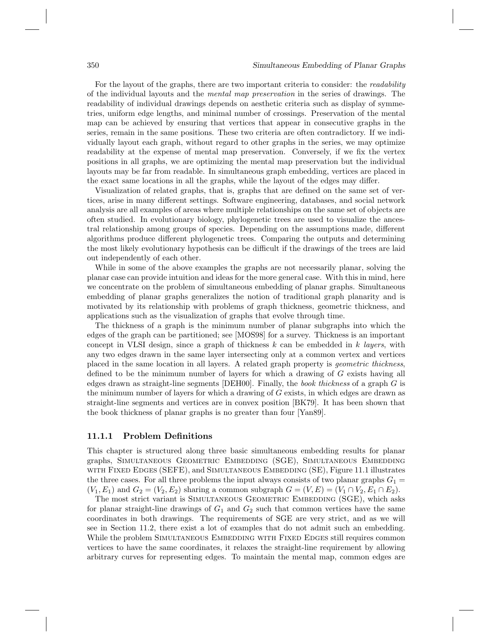For the layout of the graphs, there are two important criteria to consider: the *readability* of the individual layouts and the mental map preservation in the series of drawings. The readability of individual drawings depends on aesthetic criteria such as display of symmetries, uniform edge lengths, and minimal number of crossings. Preservation of the mental map can be achieved by ensuring that vertices that appear in consecutive graphs in the series, remain in the same positions. These two criteria are often contradictory. If we individually layout each graph, without regard to other graphs in the series, we may optimize readability at the expense of mental map preservation. Conversely, if we fix the vertex positions in all graphs, we are optimizing the mental map preservation but the individual layouts may be far from readable. In simultaneous graph embedding, vertices are placed in the exact same locations in all the graphs, while the layout of the edges may differ.

Visualization of related graphs, that is, graphs that are defined on the same set of vertices, arise in many different settings. Software engineering, databases, and social network analysis are all examples of areas where multiple relationships on the same set of objects are often studied. In evolutionary biology, phylogenetic trees are used to visualize the ancestral relationship among groups of species. Depending on the assumptions made, different algorithms produce different phylogenetic trees. Comparing the outputs and determining the most likely evolutionary hypothesis can be difficult if the drawings of the trees are laid out independently of each other.

While in some of the above examples the graphs are not necessarily planar, solving the planar case can provide intuition and ideas for the more general case. With this in mind, here we concentrate on the problem of simultaneous embedding of planar graphs. Simultaneous embedding of planar graphs generalizes the notion of traditional graph planarity and is motivated by its relationship with problems of graph thickness, geometric thickness, and applications such as the visualization of graphs that evolve through time.

The thickness of a graph is the minimum number of planar subgraphs into which the edges of the graph can be partitioned; see [MOS98] for a survey. Thickness is an important concept in VLSI design, since a graph of thickness  $k$  can be embedded in  $k$  layers, with any two edges drawn in the same layer intersecting only at a common vertex and vertices placed in the same location in all layers. A related graph property is geometric thickness, defined to be the minimum number of layers for which a drawing of G exists having all edges drawn as straight-line segments [DEH00]. Finally, the book thickness of a graph  $G$  is the minimum number of layers for which a drawing of  $G$  exists, in which edges are drawn as straight-line segments and vertices are in convex position [BK79]. It has been shown that the book thickness of planar graphs is no greater than four [Yan89].

### 11.1.1 Problem Definitions

This chapter is structured along three basic simultaneous embedding results for planar graphs, Simultaneous Geometric Embedding (SGE), Simultaneous Embedding with Fixed Edges (SEFE), and Simultaneous Embedding (SE), Figure 11.1 illustrates the three cases. For all three problems the input always consists of two planar graphs  $G_1$  $(V_1, E_1)$  and  $G_2 = (V_2, E_2)$  sharing a common subgraph  $G = (V, E) = (V_1 \cap V_2, E_1 \cap E_2)$ .

The most strict variant is SIMULTANEOUS GEOMETRIC EMBEDDING (SGE), which asks for planar straight-line drawings of  $G_1$  and  $G_2$  such that common vertices have the same coordinates in both drawings. The requirements of SGE are very strict, and as we will see in Section 11.2, there exist a lot of examples that do not admit such an embedding. While the problem SIMULTANEOUS EMBEDDING WITH FIXED EDGES still requires common vertices to have the same coordinates, it relaxes the straight-line requirement by allowing arbitrary curves for representing edges. To maintain the mental map, common edges are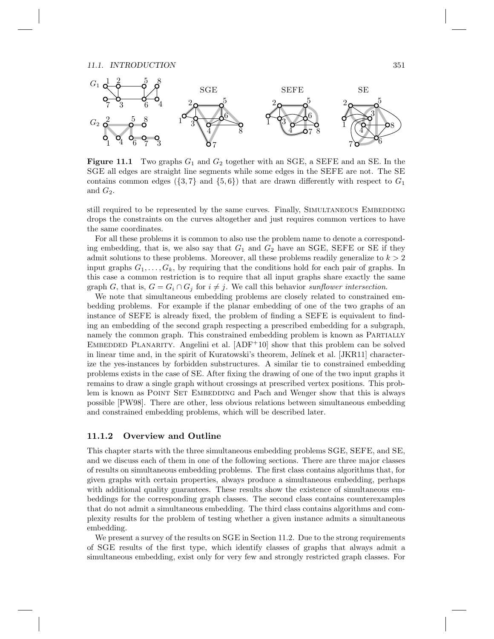

**Figure 11.1** Two graphs  $G_1$  and  $G_2$  together with an SGE, a SEFE and an SE. In the SGE all edges are straight line segments while some edges in the SEFE are not. The SE contains common edges ( $\{3, 7\}$  and  $\{5, 6\}$ ) that are drawn differently with respect to  $G_1$ and  $G_2$ .

still required to be represented by the same curves. Finally, SIMULTANEOUS EMBEDDING drops the constraints on the curves altogether and just requires common vertices to have the same coordinates.

For all these problems it is common to also use the problem name to denote a corresponding embedding, that is, we also say that  $G_1$  and  $G_2$  have an SGE, SEFE or SE if they admit solutions to these problems. Moreover, all these problems readily generalize to  $k > 2$ input graphs  $G_1, \ldots, G_k$ , by requiring that the conditions hold for each pair of graphs. In this case a common restriction is to require that all input graphs share exactly the same graph G, that is,  $G = G_i \cap G_j$  for  $i \neq j$ . We call this behavior sunflower intersection.

We note that simultaneous embedding problems are closely related to constrained embedding problems. For example if the planar embedding of one of the two graphs of an instance of SEFE is already fixed, the problem of finding a SEFE is equivalent to finding an embedding of the second graph respecting a prescribed embedding for a subgraph, namely the common graph. This constrained embedding problem is known as PARTIALLY EMBEDDED PLANARITY. Angelini et al.  $[ADF+10]$  show that this problem can be solved in linear time and, in the spirit of Kuratowski's theorem, Jelinek et al. [JKR11] characterize the yes-instances by forbidden substructures. A similar tie to constrained embedding problems exists in the case of SE. After fixing the drawing of one of the two input graphs it remains to draw a single graph without crossings at prescribed vertex positions. This problem is known as POINT SET EMBEDDING and Pach and Wenger show that this is always possible [PW98]. There are other, less obvious relations between simultaneous embedding and constrained embedding problems, which will be described later.

### 11.1.2 Overview and Outline

This chapter starts with the three simultaneous embedding problems SGE, SEFE, and SE, and we discuss each of them in one of the following sections. There are three major classes of results on simultaneous embedding problems. The first class contains algorithms that, for given graphs with certain properties, always produce a simultaneous embedding, perhaps with additional quality guarantees. These results show the existence of simultaneous embeddings for the corresponding graph classes. The second class contains counterexamples that do not admit a simultaneous embedding. The third class contains algorithms and complexity results for the problem of testing whether a given instance admits a simultaneous embedding.

We present a survey of the results on  $SGE$  in Section 11.2. Due to the strong requirements of SGE results of the first type, which identify classes of graphs that always admit a simultaneous embedding, exist only for very few and strongly restricted graph classes. For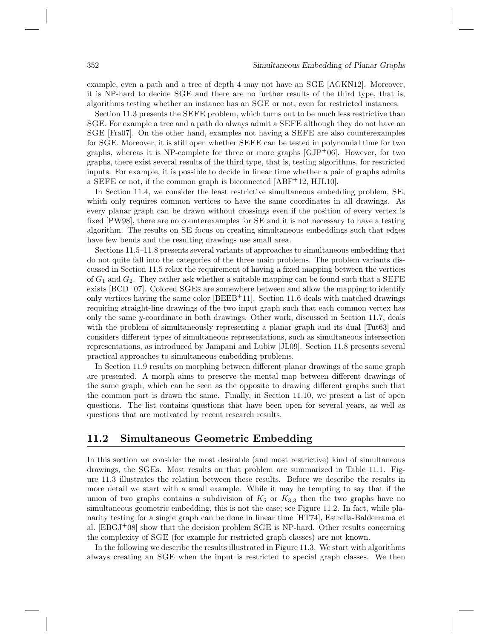example, even a path and a tree of depth 4 may not have an SGE [AGKN12]. Moreover, it is NP-hard to decide SGE and there are no further results of the third type, that is, algorithms testing whether an instance has an SGE or not, even for restricted instances.

Section 11.3 presents the SEFE problem, which turns out to be much less restrictive than SGE. For example a tree and a path do always admit a SEFE although they do not have an SGE [Fra07]. On the other hand, examples not having a SEFE are also counterexamples for SGE. Moreover, it is still open whether SEFE can be tested in polynomial time for two graphs, whereas it is NP-complete for three or more graphs  $[GJP^+06]$ . However, for two graphs, there exist several results of the third type, that is, testing algorithms, for restricted inputs. For example, it is possible to decide in linear time whether a pair of graphs admits a SEFE or not, if the common graph is biconnected [ABF+12, HJL10].

In Section 11.4, we consider the least restrictive simultaneous embedding problem, SE, which only requires common vertices to have the same coordinates in all drawings. As every planar graph can be drawn without crossings even if the position of every vertex is fixed [PW98], there are no counterexamples for SE and it is not necessary to have a testing algorithm. The results on SE focus on creating simultaneous embeddings such that edges have few bends and the resulting drawings use small area.

Sections 11.5–11.8 presents several variants of approaches to simultaneous embedding that do not quite fall into the categories of the three main problems. The problem variants discussed in Section 11.5 relax the requirement of having a fixed mapping between the vertices of  $G_1$  and  $G_2$ . They rather ask whether a suitable mapping can be found such that a SEFE exists  $[BCD<sup>+</sup>07]$ . Colored SGEs are somewhere between and allow the mapping to identify only vertices having the same color  $[BEEB<sup>+</sup>11]$ . Section 11.6 deals with matched drawings requiring straight-line drawings of the two input graph such that each common vertex has only the same y-coordinate in both drawings. Other work, discussed in Section 11.7, deals with the problem of simultaneously representing a planar graph and its dual [Tut63] and considers different types of simultaneous representations, such as simultaneous intersection representations, as introduced by Jampani and Lubiw [JL09]. Section 11.8 presents several practical approaches to simultaneous embedding problems.

In Section 11.9 results on morphing between different planar drawings of the same graph are presented. A morph aims to preserve the mental map between different drawings of the same graph, which can be seen as the opposite to drawing different graphs such that the common part is drawn the same. Finally, in Section 11.10, we present a list of open questions. The list contains questions that have been open for several years, as well as questions that are motivated by recent research results.

## 11.2 Simultaneous Geometric Embedding

In this section we consider the most desirable (and most restrictive) kind of simultaneous drawings, the SGEs. Most results on that problem are summarized in Table 11.1. Figure 11.3 illustrates the relation between these results. Before we describe the results in more detail we start with a small example. While it may be tempting to say that if the union of two graphs contains a subdivision of  $K_5$  or  $K_{3,3}$  then the two graphs have no simultaneous geometric embedding, this is not the case; see Figure 11.2. In fact, while planarity testing for a single graph can be done in linear time [HT74], Estrella-Balderrama et al. [EBGJ<sup>+</sup>08] show that the decision problem SGE is NP-hard. Other results concerning the complexity of SGE (for example for restricted graph classes) are not known.

In the following we describe the results illustrated in Figure 11.3. We start with algorithms always creating an SGE when the input is restricted to special graph classes. We then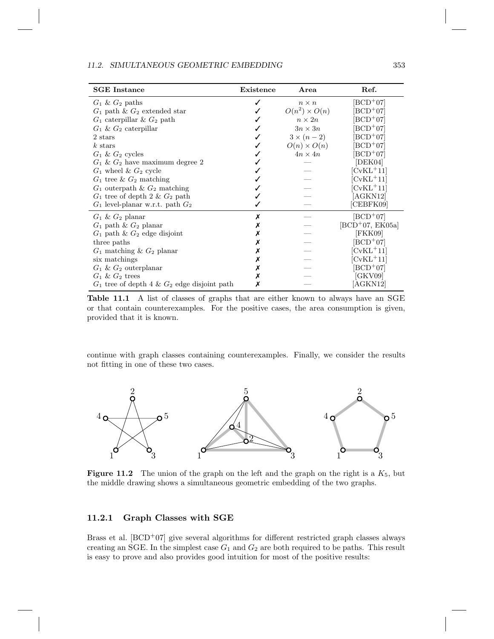| <b>SGE</b> Instance                              | <b>Existence</b> | Area                 | Ref.                                 |
|--------------------------------------------------|------------------|----------------------|--------------------------------------|
| $G_1$ & $G_2$ paths                              |                  | $n \times n$         | $[BCD+07]$                           |
| $G_1$ path & $G_2$ extended star                 |                  | $O(n^2) \times O(n)$ | $[{\rm BCD^+07}]$                    |
| $G_1$ caterpillar & $G_2$ path                   |                  | $n \times 2n$        | $\mathrm{[BCD^{+}07]}$               |
| $G_1 \& G_2$ caterpillar                         |                  | $3n \times 3n$       | $[BCD+07]$                           |
| 2 stars                                          |                  | $3 \times (n-2)$     | $[BCD+07]$                           |
| $k$ stars                                        |                  | $O(n) \times O(n)$   | $[BCD+07]$                           |
| $G_1$ & $G_2$ cycles                             |                  | $4n \times 4n$       | $[{\rm BCD^+07}]$                    |
| $G_1$ & $G_2$ have maximum degree 2              |                  |                      | [DEK04]                              |
| $G_1$ wheel & $G_2$ cycle                        |                  |                      | $\lbrack \text{CvKL} ^{+}11 \rbrack$ |
| $G_1$ tree & $G_2$ matching                      |                  |                      | $\lbrack \text{CvKL} ^{+}11 \rbrack$ |
| $G_1$ outerpath & $G_2$ matching                 |                  |                      | $[CvKL+11]$                          |
| $G_1$ tree of depth 2 & $G_2$ path               |                  |                      | [AGKN12]                             |
| $G_1$ level-planar w.r.t. path $G_2$             |                  |                      | [CEBFK09]                            |
| $G_1 \& G_2$ planar                              | Х                |                      | $[BCD+07]$                           |
| $G_1$ path & $G_2$ planar                        |                  |                      | $[BCD+07, EK05a]$                    |
| $G_1$ path $\&$ $G_2$ edge disjoint              |                  |                      | [FKK09]                              |
| three paths                                      |                  |                      | $[BCD+07]$                           |
| $G_1$ matching & $G_2$ planar                    |                  |                      | $\lbrack \text{CvKL} ^{+}11 \rbrack$ |
| six matchings                                    |                  |                      | $[CvKL+11]$                          |
| $G_1$ & $G_2$ outerplanar                        |                  |                      | $[BCD+07]$                           |
| $G_1 \& G_2$ trees                               |                  |                      | [GKV09]                              |
| $G_1$ tree of depth 4 & $G_2$ edge disjoint path | х                |                      | [AGKN12]                             |

Table 11.1 A list of classes of graphs that are either known to always have an SGE or that contain counterexamples. For the positive cases, the area consumption is given, provided that it is known.

continue with graph classes containing counterexamples. Finally, we consider the results not fitting in one of these two cases.



**Figure 11.2** The union of the graph on the left and the graph on the right is a  $K_5$ , but the middle drawing shows a simultaneous geometric embedding of the two graphs.

### 11.2.1 Graph Classes with SGE

Brass et al.  $[BCD<sup>+</sup>07]$  give several algorithms for different restricted graph classes always creating an SGE. In the simplest case  $G_1$  and  $G_2$  are both required to be paths. This result is easy to prove and also provides good intuition for most of the positive results: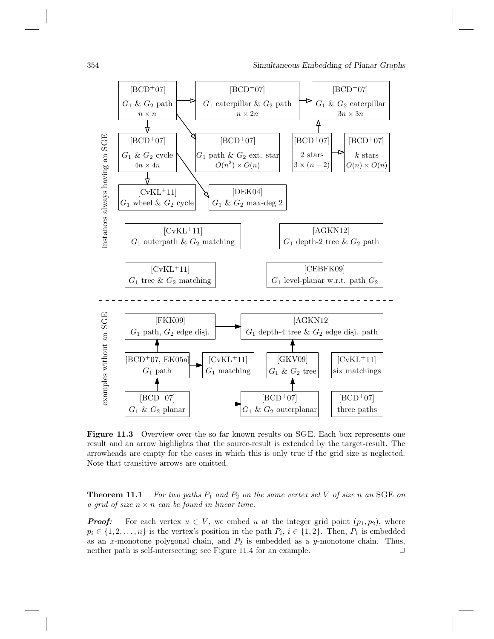

Figure 11.3 Overview over the so far known results on SGE. Each box represents one Figure 11.3 Overview over the so far known results on SGE. Each box represents one result and an arrow highlights that the source-result is extended by the target-result. The result and an arrow highlights that the source-result is extended by the target-result. The arrowheads are empty for the cases in which this is only true if the grid size is neglected. arrowheads are empty for the cases in which this is only true if the grid size is neglected. Note that transitive arrows are omitted. Note that transitive arrows are omitted.

**Theorem 11.1** For two paths  $P_1$  and  $P_2$  on the same vertex set V of size n an SGE on a grid of size  $n \times n$  can be found in linear time.

**Proof:** For each vertex  $u \in V$ , we embed u at the integer grid point  $(p_1, p_2)$ , where **Proof.** For each vertex  $u \in V$ , we embed u at the integer grid point  $(p_1, p_2)$ , where  $p_i \in \{1, 2, ..., n\}$  is the vertex's position in the path  $P_i$ ,  $i \in \{1, 2\}$ . Then,  $P_1$  is embedded  $a_i \in \{1, 2, \ldots, n\}$  is the vertex s position in the path  $i_j, i \in \{1, 2\}$ . Then,  $i_1$  is embedded as a summatrix chain. Thus, as an x-monotone polygonal chain, and  $P_2$  is embedded as a y-monotone chain. Thus, neither path is self-intersecting; see Figure 11.4 for an example.  $\Box$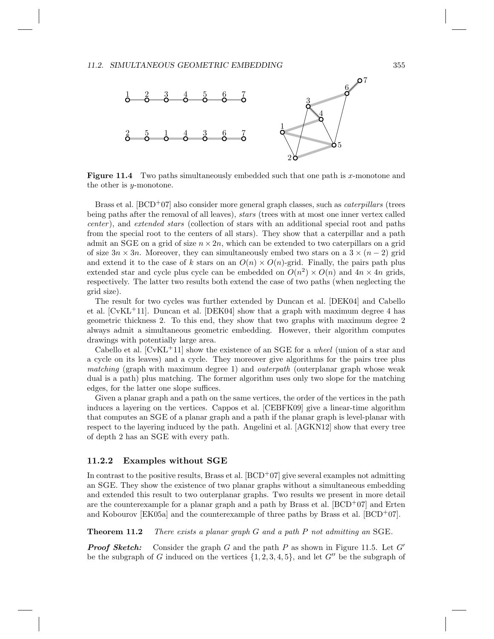

**Figure 11.4** Two paths simultaneously embedded such that one path is  $x$ -monotone and the other is  $y$ -monotone.

Brass et al.  $[BCD+07]$  also consider more general graph classes, such as *caterpillars* (trees being paths after the removal of all leaves), *stars* (trees with at most one inner vertex called center ), and extended stars (collection of stars with an additional special root and paths from the special root to the centers of all stars). They show that a caterpillar and a path admit an SGE on a grid of size  $n \times 2n$ , which can be extended to two caterpillars on a grid of size  $3n \times 3n$ . Moreover, they can simultaneously embed two stars on a  $3 \times (n-2)$  grid and extend it to the case of k stars on an  $O(n) \times O(n)$ -grid. Finally, the pairs path plus extended star and cycle plus cycle can be embedded on  $O(n^2) \times O(n)$  and  $4n \times 4n$  grids, respectively. The latter two results both extend the case of two paths (when neglecting the grid size).

The result for two cycles was further extended by Duncan et al. [DEK04] and Cabello et al. [CvKL<sup>+</sup>11]. Duncan et al. [DEK04] show that a graph with maximum degree 4 has geometric thickness 2. To this end, they show that two graphs with maximum degree 2 always admit a simultaneous geometric embedding. However, their algorithm computes drawings with potentially large area.

Cabello et al.  $\text{CvKL}+11$  show the existence of an SGE for a *wheel* (union of a star and a cycle on its leaves) and a cycle. They moreover give algorithms for the pairs tree plus matching (graph with maximum degree 1) and *outerpath* (outerplanar graph whose weak dual is a path) plus matching. The former algorithm uses only two slope for the matching edges, for the latter one slope suffices.

Given a planar graph and a path on the same vertices, the order of the vertices in the path induces a layering on the vertices. Cappos et al. [CEBFK09] give a linear-time algorithm that computes an SGE of a planar graph and a path if the planar graph is level-planar with respect to the layering induced by the path. Angelini et al. [AGKN12] show that every tree of depth 2 has an SGE with every path.

### 11.2.2 Examples without SGE

In contrast to the positive results, Brass et al.  $[BCD<sup>+</sup>07]$  give several examples not admitting an SGE. They show the existence of two planar graphs without a simultaneous embedding and extended this result to two outerplanar graphs. Two results we present in more detail are the counterexample for a planar graph and a path by Brass et al.  $[BCD<sup>+</sup>07]$  and Erten and Kobourov [EK05a] and the counterexample of three paths by Brass et al. [ $BCD<sup>+</sup>07$ ].

**Theorem 11.2** There exists a planar graph G and a path P not admitting an SGE.

**Proof Sketch:** Consider the graph G and the path P as shown in Figure 11.5. Let  $G'$ be the subgraph of G induced on the vertices  $\{1, 2, 3, 4, 5\}$ , and let G'' be the subgraph of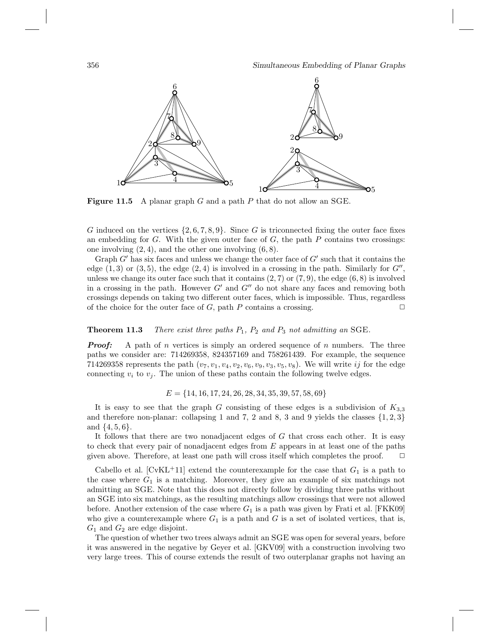356 Simultaneous Embedding of Planar Graphs



**Figure 11.5** A planar graph G and a path P that do not allow an SGE.

G induced on the vertices  $\{2, 6, 7, 8, 9\}$ . Since G is triconnected fixing the outer face fixes an embedding for  $G$ . With the given outer face of  $G$ , the path  $P$  contains two crossings: one involving  $(2, 4)$ , and the other one involving  $(6, 8)$ .

Graph  $G'$  has six faces and unless we change the outer face of  $G'$  such that it contains the edge  $(1,3)$  or  $(3,5)$ , the edge  $(2,4)$  is involved in a crossing in the path. Similarly for  $G''$ , unless we change its outer face such that it contains  $(2, 7)$  or  $(7, 9)$ , the edge  $(6, 8)$  is involved in a crossing in the path. However  $G'$  and  $G''$  do not share any faces and removing both crossings depends on taking two different outer faces, which is impossible. Thus, regardless of the choice for the outer face of G, path P contains a crossing.  $\Box$ 

### **Theorem 11.3** There exist three paths  $P_1$ ,  $P_2$  and  $P_3$  not admitting an SGE.

**Proof:** A path of n vertices is simply an ordered sequence of n numbers. The three paths we consider are: 714269358, 824357169 and 758261439. For example, the sequence 714269358 represents the path  $(v_7, v_1, v_4, v_2, v_6, v_9, v_3, v_5, v_8)$ . We will write ij for the edge connecting  $v_i$  to  $v_j$ . The union of these paths contain the following twelve edges.

$$
E = \{14, 16, 17, 24, 26, 28, 34, 35, 39, 57, 58, 69\}
$$

It is easy to see that the graph  $G$  consisting of these edges is a subdivision of  $K_{3,3}$ and therefore non-planar: collapsing 1 and 7, 2 and 8, 3 and 9 yields the classes  $\{1, 2, 3\}$ and  $\{4, 5, 6\}.$ 

It follows that there are two nonadjacent edges of G that cross each other. It is easy to check that every pair of nonadjacent edges from  $E$  appears in at least one of the paths given above. Therefore, at least one path will cross itself which completes the proof.  $\Box$ 

Cabello et al.  $\text{CvKL}+11$  extend the counterexample for the case that  $G_1$  is a path to the case where  $G_1$  is a matching. Moreover, they give an example of six matchings not admitting an SGE. Note that this does not directly follow by dividing three paths without an SGE into six matchings, as the resulting matchings allow crossings that were not allowed before. Another extension of the case where  $G_1$  is a path was given by Frati et al. [FKK09] who give a counterexample where  $G_1$  is a path and  $G$  is a set of isolated vertices, that is,  $G_1$  and  $G_2$  are edge disjoint.

The question of whether two trees always admit an SGE was open for several years, before it was answered in the negative by Geyer et al. [GKV09] with a construction involving two very large trees. This of course extends the result of two outerplanar graphs not having an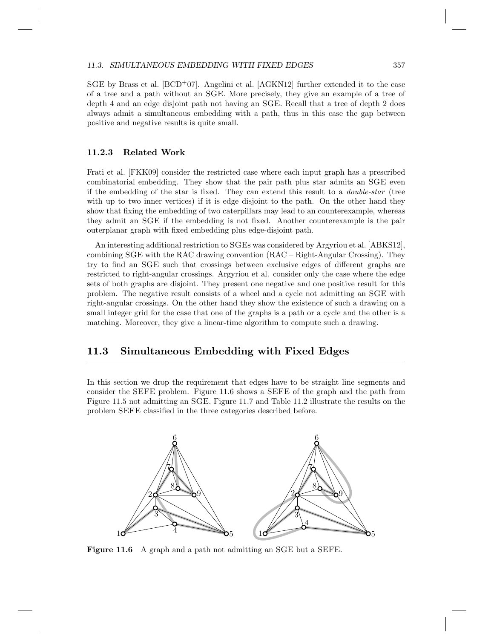SGE by Brass et al.  $[BCD^+07]$ . Angelini et al.  $[AGKN12]$  further extended it to the case of a tree and a path without an SGE. More precisely, they give an example of a tree of depth 4 and an edge disjoint path not having an SGE. Recall that a tree of depth 2 does always admit a simultaneous embedding with a path, thus in this case the gap between positive and negative results is quite small.

### 11.2.3 Related Work

Frati et al. [FKK09] consider the restricted case where each input graph has a prescribed combinatorial embedding. They show that the pair path plus star admits an SGE even if the embedding of the star is fixed. They can extend this result to a double-star (tree with up to two inner vertices) if it is edge disjoint to the path. On the other hand they show that fixing the embedding of two caterpillars may lead to an counterexample, whereas they admit an SGE if the embedding is not fixed. Another counterexample is the pair outerplanar graph with fixed embedding plus edge-disjoint path.

An interesting additional restriction to SGEs was considered by Argyriou et al. [ABKS12], combining SGE with the RAC drawing convention (RAC – Right-Angular Crossing). They try to find an SGE such that crossings between exclusive edges of different graphs are restricted to right-angular crossings. Argyriou et al. consider only the case where the edge sets of both graphs are disjoint. They present one negative and one positive result for this problem. The negative result consists of a wheel and a cycle not admitting an SGE with right-angular crossings. On the other hand they show the existence of such a drawing on a small integer grid for the case that one of the graphs is a path or a cycle and the other is a matching. Moreover, they give a linear-time algorithm to compute such a drawing.

# 11.3 Simultaneous Embedding with Fixed Edges

In this section we drop the requirement that edges have to be straight line segments and consider the SEFE problem. Figure 11.6 shows a SEFE of the graph and the path from Figure 11.5 not admitting an SGE. Figure 11.7 and Table 11.2 illustrate the results on the problem SEFE classified in the three categories described before.



Figure 11.6 A graph and a path not admitting an SGE but a SEFE.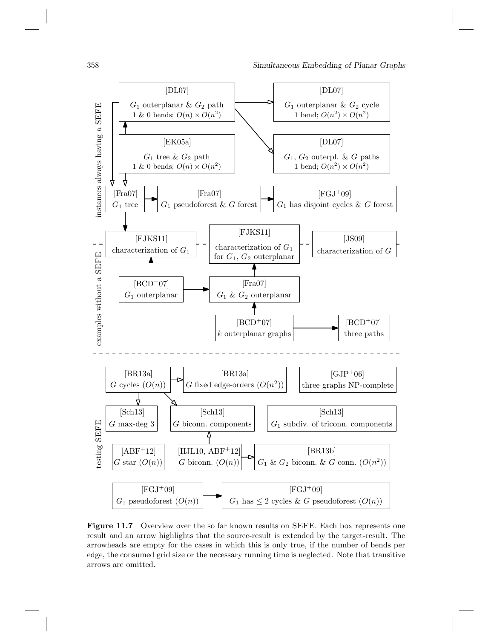

Figure 11.7 Overview over the so far known results on SEFE. Each box represents one result and an arrow highlights that the source-result is extended by the target-result. The result and an arrow highlights that the source-result is extended by the target-result. The arrowheads are empty for the cases in which this is only true, if the number of bends per arrowheads are empty for the cases in which this is only true, if the number of bends per edge, the consumed grid size or the necessary running time is neglected. Note that transitive edge, the consumed grid size or the necessary running time is neglected. Note that transitive arrows are omitted. arrows are omitted.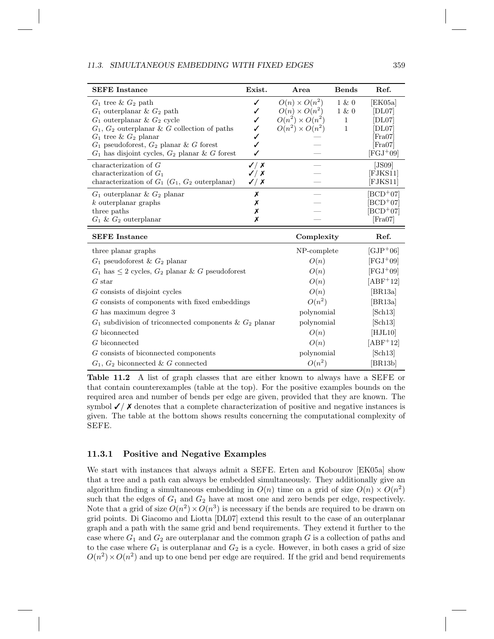| <b>SEFE</b> Instance                                                                              | Exist.                                                     | Area                   | <b>Bends</b> | Ref.                           |
|---------------------------------------------------------------------------------------------------|------------------------------------------------------------|------------------------|--------------|--------------------------------|
| $G_1$ tree & $G_2$ path                                                                           | ✓                                                          | $O(n) \times O(n^2)$   | $1 \& 0$     | [EK05a]                        |
| $G_1$ outerplanar & $G_2$ path                                                                    | ✓                                                          | $O(n) \times O(n^2)$   | $1 \& 0$     | [DL07]                         |
| $G_1$ outerplanar & $G_2$ cycle                                                                   | ✓                                                          | $O(n^2) \times O(n^2)$ | $\mathbf{1}$ | [DL07]                         |
| $G_1, G_2$ outerplanar & G collection of paths                                                    | ✓                                                          | $O(n^2) \times O(n^2)$ | 1            | [DL07]                         |
| $G_1$ tree & $G_2$ planar                                                                         | ✓<br>$\checkmark$                                          |                        |              | $[\text{Fra}07]$               |
| $G_1$ pseudoforest, $G_2$ planar & G forest<br>$G_1$ has disjoint cycles, $G_2$ planar & G forest | ✓                                                          |                        |              | Fra07<br>$[FGJ+09]$            |
|                                                                                                   |                                                            |                        |              |                                |
| characterization of $G$<br>characterization of $G_1$                                              | $\checkmark$ / $\checkmark$<br>$\checkmark$ / $\checkmark$ |                        |              | [JSO9]<br>[FJKS11]             |
| characterization of $G_1$ ( $G_1$ , $G_2$ outerplanar)                                            | $\checkmark$ / $\checkmark$                                |                        |              | [FJKS11]                       |
| $G_1$ outerplanar & $G_2$ planar                                                                  | $\pmb{\mathsf{x}}$                                         |                        |              | $[BCD+07]$                     |
| $k$ outerplanar graphs                                                                            | Х                                                          |                        |              | $[BCD+07]$                     |
| three paths                                                                                       | $\pmb{\mathsf{x}}$                                         |                        |              | $[BCD+07]$                     |
| $G_1$ & $G_2$ outerplanar                                                                         | Х                                                          |                        |              | [Fra07]                        |
|                                                                                                   |                                                            |                        |              |                                |
| <b>SEFE Instance</b>                                                                              |                                                            | Complexity             |              | Ref.                           |
| three planar graphs                                                                               |                                                            | NP-complete            |              | $[GJP+06]$                     |
| $G_1$ pseudoforest & $G_2$ planar                                                                 |                                                            | O(n)                   |              | $[FGJ+09]$                     |
| $G_1$ has $\leq 2$ cycles, $G_2$ planar & G pseudoforest                                          |                                                            | O(n)                   |              | $[FGJ^+09]$                    |
| $G$ star                                                                                          |                                                            | O(n)                   |              | $[ABF+12]$                     |
| $G$ consists of disjoint cycles                                                                   |                                                            | O(n)                   |              | [BR13a]                        |
| G consists of components with fixed embeddings                                                    |                                                            | $O(n^2)$               |              | [BR13a]                        |
| $G$ has maximum degree 3                                                                          |                                                            | polynomial             |              | [Sch13]                        |
| $G_1$ subdivision of triconnected components & $G_2$ planar                                       |                                                            | polynomial             |              | $\lbrack \text{Sch}13 \rbrack$ |
| G biconnected                                                                                     |                                                            | O(n)                   |              | [HJL10]                        |
| G biconnected                                                                                     |                                                            | O(n)                   |              | $[ABF+12]$                     |
| $G$ consists of biconnected components                                                            |                                                            | polynomial             |              | [Sch13]                        |

### 11.3. SIMULTANEOUS EMBEDDING WITH FIXED EDGES 359

Table 11.2 A list of graph classes that are either known to always have a SEFE or that contain counterexamples (table at the top). For the positive examples bounds on the required area and number of bends per edge are given, provided that they are known. The symbol  $\checkmark$  is denotes that a complete characterization of positive and negative instances is given. The table at the bottom shows results concerning the computational complexity of SEFE.

### 11.3.1 Positive and Negative Examples

We start with instances that always admit a SEFE. Erten and Kobourov [EK05a] show that a tree and a path can always be embedded simultaneously. They additionally give an algorithm finding a simultaneous embedding in  $O(n)$  time on a grid of size  $O(n) \times O(n^2)$ such that the edges of  $G_1$  and  $G_2$  have at most one and zero bends per edge, respectively. Note that a grid of size  $O(n^2) \times O(n^3)$  is necessary if the bends are required to be drawn on grid points. Di Giacomo and Liotta [DL07] extend this result to the case of an outerplanar graph and a path with the same grid and bend requirements. They extend it further to the case where  $G_1$  and  $G_2$  are outerplanar and the common graph G is a collection of paths and to the case where  $G_1$  is outerplanar and  $G_2$  is a cycle. However, in both cases a grid of size  $O(n^2) \times O(n^2)$  and up to one bend per edge are required. If the grid and bend requirements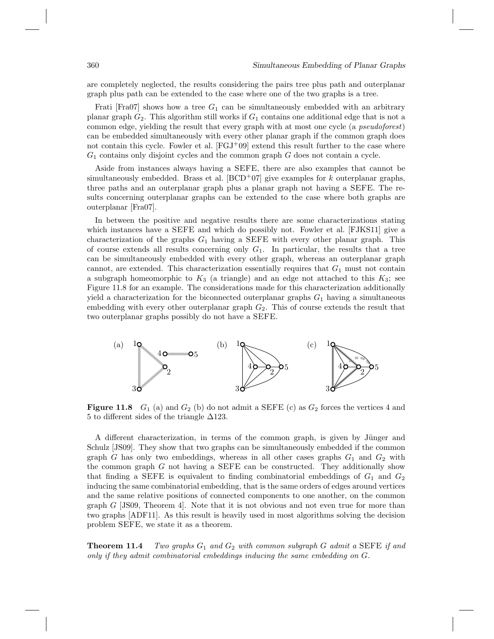are completely neglected, the results considering the pairs tree plus path and outerplanar graph plus path can be extended to the case where one of the two graphs is a tree.

Frati [Fra07] shows how a tree  $G_1$  can be simultaneously embedded with an arbitrary planar graph  $G_2$ . This algorithm still works if  $G_1$  contains one additional edge that is not a common edge, yielding the result that every graph with at most one cycle (a pseudoforest) can be embedded simultaneously with every other planar graph if the common graph does not contain this cycle. Fowler et al.  $[FGJ+09]$  extend this result further to the case where  $G_1$  contains only disjoint cycles and the common graph  $G$  does not contain a cycle.

Aside from instances always having a SEFE, there are also examples that cannot be simultaneously embedded. Brass et al.  $[BCD<sup>+</sup>07]$  give examples for k outerplanar graphs, three paths and an outerplanar graph plus a planar graph not having a SEFE. The results concerning outerplanar graphs can be extended to the case where both graphs are outerplanar [Fra07].

In between the positive and negative results there are some characterizations stating which instances have a SEFE and which do possibly not. Fowler et al. [FJKS11] give a characterization of the graphs  $G_1$  having a SEFE with every other planar graph. This of course extends all results concerning only  $G_1$ . In particular, the results that a tree can be simultaneously embedded with every other graph, whereas an outerplanar graph cannot, are extended. This characterization essentially requires that  $G_1$  must not contain a subgraph homeomorphic to  $K_3$  (a triangle) and an edge not attached to this  $K_3$ ; see Figure 11.8 for an example. The considerations made for this characterization additionally yield a characterization for the biconnected outerplanar graphs  $G_1$  having a simultaneous embedding with every other outerplanar graph  $G_2$ . This of course extends the result that two outerplanar graphs possibly do not have a SEFE.



**Figure 11.8**  $G_1$  (a) and  $G_2$  (b) do not admit a SEFE (c) as  $G_2$  forces the vertices 4 and 5 to different sides of the triangle  $\Delta$ 123.

A different characterization, in terms of the common graph, is given by Jünger and Schulz [JS09]. They show that two graphs can be simultaneously embedded if the common graph  $G$  has only two embeddings, whereas in all other cases graphs  $G_1$  and  $G_2$  with the common graph  $G$  not having a SEFE can be constructed. They additionally show that finding a SEFE is equivalent to finding combinatorial embeddings of  $G_1$  and  $G_2$ inducing the same combinatorial embedding, that is the same orders of edges around vertices and the same relative positions of connected components to one another, on the common graph  $G$  [JS09, Theorem 4]. Note that it is not obvious and not even true for more than two graphs [ADF11]. As this result is heavily used in most algorithms solving the decision problem SEFE, we state it as a theorem.

**Theorem 11.4** Two graphs  $G_1$  and  $G_2$  with common subgraph G admit a SEFE if and only if they admit combinatorial embeddings inducing the same embedding on G.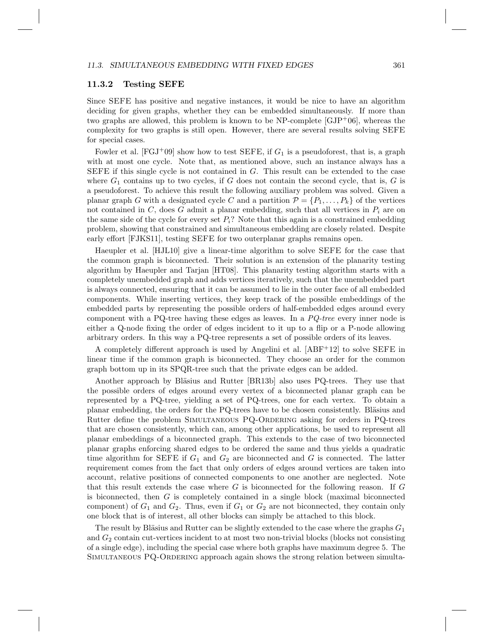### 11.3.2 Testing SEFE

Since SEFE has positive and negative instances, it would be nice to have an algorithm deciding for given graphs, whether they can be embedded simultaneously. If more than two graphs are allowed, this problem is known to be NP-complete  $|GJP+06|$ , whereas the complexity for two graphs is still open. However, there are several results solving SEFE for special cases.

Fowler et al.  $[FGJ^+09]$  show how to test SEFE, if  $G_1$  is a pseudoforest, that is, a graph with at most one cycle. Note that, as mentioned above, such an instance always has a SEFE if this single cycle is not contained in G. This result can be extended to the case where  $G_1$  contains up to two cycles, if G does not contain the second cycle, that is, G is a pseudoforest. To achieve this result the following auxiliary problem was solved. Given a planar graph G with a designated cycle C and a partition  $\mathcal{P} = \{P_1, \ldots, P_k\}$  of the vertices not contained in C, does G admit a planar embedding, such that all vertices in  $P_i$  are on the same side of the cycle for every set  $P_i$ ? Note that this again is a constrained embedding problem, showing that constrained and simultaneous embedding are closely related. Despite early effort [FJKS11], testing SEFE for two outerplanar graphs remains open.

Haeupler et al. [HJL10] give a linear-time algorithm to solve SEFE for the case that the common graph is biconnected. Their solution is an extension of the planarity testing algorithm by Haeupler and Tarjan [HT08]. This planarity testing algorithm starts with a completely unembedded graph and adds vertices iteratively, such that the unembedded part is always connected, ensuring that it can be assumed to lie in the outer face of all embedded components. While inserting vertices, they keep track of the possible embeddings of the embedded parts by representing the possible orders of half-embedded edges around every component with a PQ-tree having these edges as leaves. In a  $PQ$ -tree every inner node is either a Q-node fixing the order of edges incident to it up to a flip or a P-node allowing arbitrary orders. In this way a PQ-tree represents a set of possible orders of its leaves.

A completely different approach is used by Angelini et al. [ABF<sup>+</sup>12] to solve SEFE in linear time if the common graph is biconnected. They choose an order for the common graph bottom up in its SPQR-tree such that the private edges can be added.

Another approach by Bläsius and Rutter [BR13b] also uses PQ-trees. They use that the possible orders of edges around every vertex of a biconnected planar graph can be represented by a PQ-tree, yielding a set of PQ-trees, one for each vertex. To obtain a planar embedding, the orders for the PQ-trees have to be chosen consistently. Bläsius and Rutter define the problem SIMULTANEOUS PQ-ORDERING asking for orders in PQ-trees that are chosen consistently, which can, among other applications, be used to represent all planar embeddings of a biconnected graph. This extends to the case of two biconnected planar graphs enforcing shared edges to be ordered the same and thus yields a quadratic time algorithm for SEFE if  $G_1$  and  $G_2$  are biconnected and G is connected. The latter requirement comes from the fact that only orders of edges around vertices are taken into account, relative positions of connected components to one another are neglected. Note that this result extends the case where  $G$  is biconnected for the following reason. If  $G$ is biconnected, then G is completely contained in a single block (maximal biconnected component) of  $G_1$  and  $G_2$ . Thus, even if  $G_1$  or  $G_2$  are not biconnected, they contain only one block that is of interest, all other blocks can simply be attached to this block.

The result by Bläsius and Rutter can be slightly extended to the case where the graphs  $G_1$ and  $G_2$  contain cut-vertices incident to at most two non-trivial blocks (blocks not consisting of a single edge), including the special case where both graphs have maximum degree 5. The SIMULTANEOUS PQ-ORDERING approach again shows the strong relation between simulta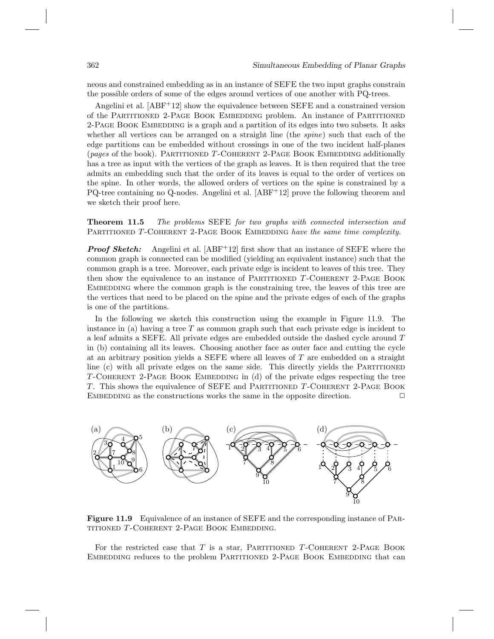neous and constrained embedding as in an instance of SEFE the two input graphs constrain the possible orders of some of the edges around vertices of one another with PQ-trees.

Angelini et al. [ABF+12] show the equivalence between SEFE and a constrained version of the PARTITIONED 2-PAGE BOOK EMBEDDING problem. An instance of PARTITIONED 2-Page Book EMBEDDING is a graph and a partition of its edges into two subsets. It asks whether all vertices can be arranged on a straight line (the *spine*) such that each of the edge partitions can be embedded without crossings in one of the two incident half-planes ( $pages$  of the book). PARTITIONED T-COHERENT 2-PAGE BOOK EMBEDDING additionally has a tree as input with the vertices of the graph as leaves. It is then required that the tree admits an embedding such that the order of its leaves is equal to the order of vertices on the spine. In other words, the allowed orders of vertices on the spine is constrained by a PQ-tree containing no Q-nodes. Angelini et al. [ABF+12] prove the following theorem and we sketch their proof here.

**Theorem 11.5** The problems SEFE for two graphs with connected intersection and PARTITIONED T-COHERENT 2-PAGE BOOK EMBEDDING have the same time complexity.

**Proof Sketch:** Angelini et al.  $[ABF^+12]$  first show that an instance of SEFE where the common graph is connected can be modified (yielding an equivalent instance) such that the common graph is a tree. Moreover, each private edge is incident to leaves of this tree. They then show the equivalence to an instance of PARTITIONED  $T$ -COHERENT 2-PAGE BOOK EMBEDDING where the common graph is the constraining tree, the leaves of this tree are the vertices that need to be placed on the spine and the private edges of each of the graphs is one of the partitions.

In the following we sketch this construction using the example in Figure 11.9. The instance in (a) having a tree T as common graph such that each private edge is incident to a leaf admits a SEFE. All private edges are embedded outside the dashed cycle around T in (b) containing all its leaves. Choosing another face as outer face and cutting the cycle at an arbitrary position yields a SEFE where all leaves of  $T$  are embedded on a straight line (c) with all private edges on the same side. This directly yields the PARTITIONED  $T$ -COHERENT 2-PAGE BOOK EMBEDDING in (d) of the private edges respecting the tree T. This shows the equivalence of SEFE and Partitioned T-Coherent 2-Page Book EMBEDDING as the constructions works the same in the opposite direction.  $\Box$ 



Figure 11.9 Equivalence of an instance of SEFE and the corresponding instance of Partitioned T-Coherent 2-Page Book Embedding.

For the restricted case that  $T$  is a star, PARTITIONED  $T$ -COHERENT 2-PAGE BOOK EMBEDDING reduces to the problem PARTITIONED 2-PAGE BOOK EMBEDDING that can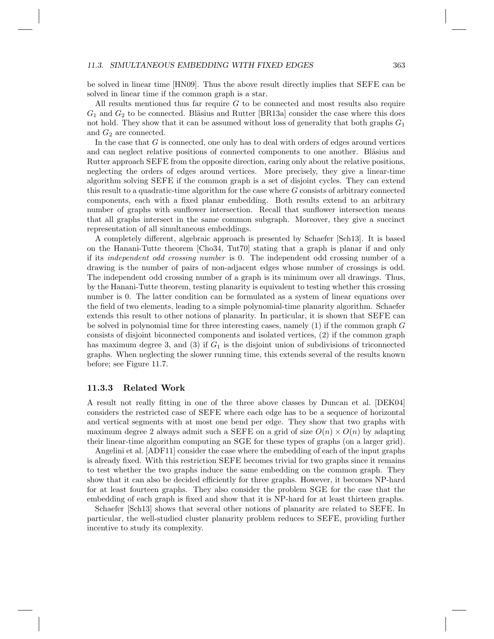be solved in linear time [HN09]. Thus the above result directly implies that SEFE can be solved in linear time if the common graph is a star.

All results mentioned thus far require G to be connected and most results also require  $G_1$  and  $G_2$  to be connected. Bläsius and Rutter [BR13a] consider the case where this does not hold. They show that it can be assumed without loss of generality that both graphs  $G_1$ and  $G_2$  are connected.

In the case that  $G$  is connected, one only has to deal with orders of edges around vertices and can neglect relative positions of connected components to one another. Bläsius and Rutter approach SEFE from the opposite direction, caring only about the relative positions, neglecting the orders of edges around vertices. More precisely, they give a linear-time algorithm solving SEFE if the common graph is a set of disjoint cycles. They can extend this result to a quadratic-time algorithm for the case where  $G$  consists of arbitrary connected components, each with a fixed planar embedding. Both results extend to an arbitrary number of graphs with sunflower intersection. Recall that sunflower intersection means that all graphs intersect in the same common subgraph. Moreover, they give a succinct representation of all simultaneous embeddings.

A completely different, algebraic approach is presented by Schaefer [Sch13]. It is based on the Hanani-Tutte theorem [Cho34, Tut70] stating that a graph is planar if and only if its independent odd crossing number is 0. The independent odd crossing number of a drawing is the number of pairs of non-adjacent edges whose number of crossings is odd. The independent odd crossing number of a graph is its minimum over all drawings. Thus, by the Hanani-Tutte theorem, testing planarity is equivalent to testing whether this crossing number is 0. The latter condition can be formulated as a system of linear equations over the field of two elements, leading to a simple polynomial-time planarity algorithm. Schaefer extends this result to other notions of planarity. In particular, it is shown that SEFE can be solved in polynomial time for three interesting cases, namely  $(1)$  if the common graph G consists of disjoint biconnected components and isolated vertices, (2) if the common graph has maximum degree 3, and (3) if  $G_1$  is the disjoint union of subdivisions of triconnected graphs. When neglecting the slower running time, this extends several of the results known before; see Figure 11.7.

### 11.3.3 Related Work

A result not really fitting in one of the three above classes by Duncan et al. [DEK04] considers the restricted case of SEFE where each edge has to be a sequence of horizontal and vertical segments with at most one bend per edge. They show that two graphs with maximum degree 2 always admit such a SEFE on a grid of size  $O(n) \times O(n)$  by adapting their linear-time algorithm computing an SGE for these types of graphs (on a larger grid).

Angelini et al. [ADF11] consider the case where the embedding of each of the input graphs is already fixed. With this restriction SEFE becomes trivial for two graphs since it remains to test whether the two graphs induce the same embedding on the common graph. They show that it can also be decided efficiently for three graphs. However, it becomes NP-hard for at least fourteen graphs. They also consider the problem SGE for the case that the embedding of each graph is fixed and show that it is NP-hard for at least thirteen graphs.

Schaefer [Sch13] shows that several other notions of planarity are related to SEFE. In particular, the well-studied cluster planarity problem reduces to SEFE, providing further incentive to study its complexity.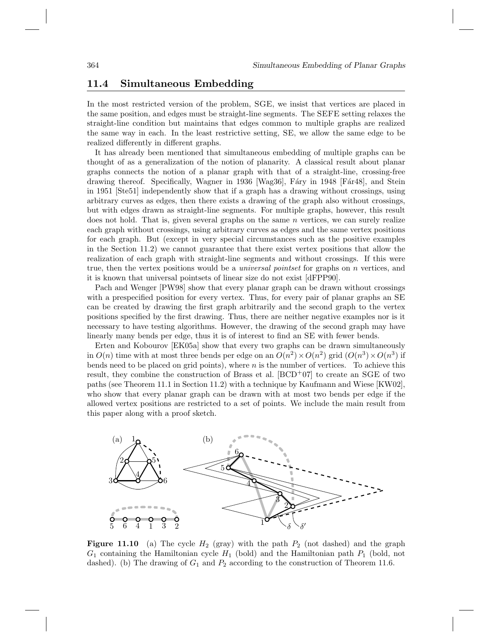## 11.4 Simultaneous Embedding

In the most restricted version of the problem, SGE, we insist that vertices are placed in the same position, and edges must be straight-line segments. The SEFE setting relaxes the straight-line condition but maintains that edges common to multiple graphs are realized the same way in each. In the least restrictive setting, SE, we allow the same edge to be realized differently in different graphs.

It has already been mentioned that simultaneous embedding of multiple graphs can be thought of as a generalization of the notion of planarity. A classical result about planar graphs connects the notion of a planar graph with that of a straight-line, crossing-free drawing thereof. Specifically, Wagner in 1936 [Wag36], Fáry in 1948 [Fár48], and Stein in 1951 [Ste51] independently show that if a graph has a drawing without crossings, using arbitrary curves as edges, then there exists a drawing of the graph also without crossings, but with edges drawn as straight-line segments. For multiple graphs, however, this result does not hold. That is, given several graphs on the same  $n$  vertices, we can surely realize each graph without crossings, using arbitrary curves as edges and the same vertex positions for each graph. But (except in very special circumstances such as the positive examples in the Section 11.2) we cannot guarantee that there exist vertex positions that allow the realization of each graph with straight-line segments and without crossings. If this were true, then the vertex positions would be a *universal pointset* for graphs on n vertices, and it is known that universal pointsets of linear size do not exist [dFPP90].

Pach and Wenger [PW98] show that every planar graph can be drawn without crossings with a prespecified position for every vertex. Thus, for every pair of planar graphs an SE can be created by drawing the first graph arbitrarily and the second graph to the vertex positions specified by the first drawing. Thus, there are neither negative examples nor is it necessary to have testing algorithms. However, the drawing of the second graph may have linearly many bends per edge, thus it is of interest to find an SE with fewer bends.

Erten and Kobourov [EK05a] show that every two graphs can be drawn simultaneously in  $O(n)$  time with at most three bends per edge on an  $O(n^2) \times O(n^2)$  grid  $(O(n^3) \times O(n^3)$  if bends need to be placed on grid points), where  $n$  is the number of vertices. To achieve this result, they combine the construction of Brass et al.  $[BCD<sup>+</sup>07]$  to create an SGE of two paths (see Theorem 11.1 in Section 11.2) with a technique by Kaufmann and Wiese [KW02], who show that every planar graph can be drawn with at most two bends per edge if the allowed vertex positions are restricted to a set of points. We include the main result from this paper along with a proof sketch.



**Figure 11.10** (a) The cycle  $H_2$  (gray) with the path  $P_2$  (not dashed) and the graph  $G_1$  containing the Hamiltonian cycle  $H_1$  (bold) and the Hamiltonian path  $P_1$  (bold, not dashed). (b) The drawing of  $G_1$  and  $P_2$  according to the construction of Theorem 11.6.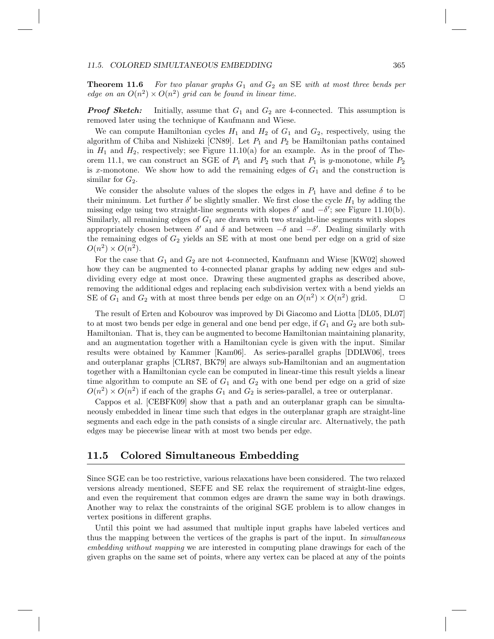### 11.5. COLORED SIMULTANEOUS EMBEDDING 365

**Theorem 11.6** For two planar graphs  $G_1$  and  $G_2$  an SE with at most three bends per edge on an  $O(n^2) \times O(n^2)$  grid can be found in linear time.

**Proof Sketch:** Initially, assume that  $G_1$  and  $G_2$  are 4-connected. This assumption is removed later using the technique of Kaufmann and Wiese.

We can compute Hamiltonian cycles  $H_1$  and  $H_2$  of  $G_1$  and  $G_2$ , respectively, using the algorithm of Chiba and Nishizeki [CN89]. Let  $P_1$  and  $P_2$  be Hamiltonian paths contained in  $H_1$  and  $H_2$ , respectively; see Figure 11.10(a) for an example. As in the proof of Theorem 11.1, we can construct an SGE of  $P_1$  and  $P_2$  such that  $P_1$  is y-monotone, while  $P_2$ is x-monotone. We show how to add the remaining edges of  $G_1$  and the construction is similar for  $G_2$ .

We consider the absolute values of the slopes the edges in  $P_1$  have and define  $\delta$  to be their minimum. Let further  $\delta'$  be slightly smaller. We first close the cycle  $H_1$  by adding the missing edge using two straight-line segments with slopes  $\delta'$  and  $-\delta'$ ; see Figure 11.10(b). Similarly, all remaining edges of  $G_1$  are drawn with two straight-line segments with slopes appropriately chosen between  $\delta'$  and  $\delta$  and between  $-\delta$  and  $-\delta'$ . Dealing similarly with the remaining edges of  $G_2$  yields an SE with at most one bend per edge on a grid of size  $O(n^2) \times O(n^2)$ .

For the case that  $G_1$  and  $G_2$  are not 4-connected, Kaufmann and Wiese [KW02] showed how they can be augmented to 4-connected planar graphs by adding new edges and subdividing every edge at most once. Drawing these augmented graphs as described above, removing the additional edges and replacing each subdivision vertex with a bend yields an SE of  $G_1$  and  $G_2$  with at most three bends per edge on an  $O(n^2) \times O(n^2)$  grid.  $\Box$ 

The result of Erten and Kobourov was improved by Di Giacomo and Liotta [DL05, DL07] to at most two bends per edge in general and one bend per edge, if  $G_1$  and  $G_2$  are both sub-Hamiltonian. That is, they can be augmented to become Hamiltonian maintaining planarity, and an augmentation together with a Hamiltonian cycle is given with the input. Similar results were obtained by Kammer [Kam06]. As series-parallel graphs [DDLW06], trees and outerplanar graphs [CLR87, BK79] are always sub-Hamiltonian and an augmentation together with a Hamiltonian cycle can be computed in linear-time this result yields a linear time algorithm to compute an SE of  $G_1$  and  $G_2$  with one bend per edge on a grid of size  $O(n^2) \times O(n^2)$  if each of the graphs  $G_1$  and  $G_2$  is series-parallel, a tree or outerplanar.

Cappos et al. [CEBFK09] show that a path and an outerplanar graph can be simultaneously embedded in linear time such that edges in the outerplanar graph are straight-line segments and each edge in the path consists of a single circular arc. Alternatively, the path edges may be piecewise linear with at most two bends per edge.

### 11.5 Colored Simultaneous Embedding

Since SGE can be too restrictive, various relaxations have been considered. The two relaxed versions already mentioned, SEFE and SE relax the requirement of straight-line edges, and even the requirement that common edges are drawn the same way in both drawings. Another way to relax the constraints of the original SGE problem is to allow changes in vertex positions in different graphs.

Until this point we had assumed that multiple input graphs have labeled vertices and thus the mapping between the vertices of the graphs is part of the input. In *simultaneous* embedding without mapping we are interested in computing plane drawings for each of the given graphs on the same set of points, where any vertex can be placed at any of the points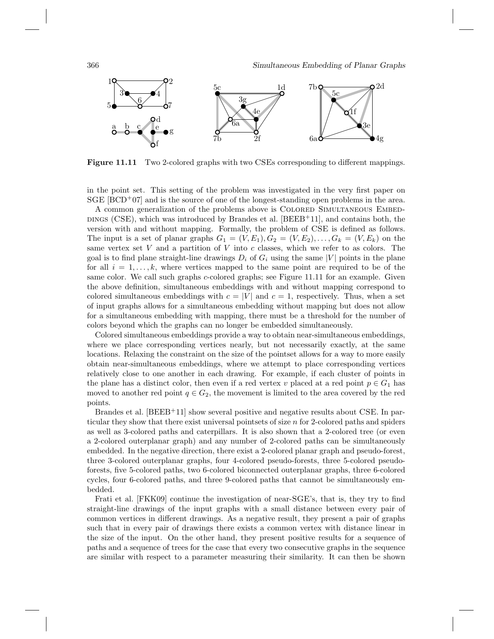

Figure 11.11 Two 2-colored graphs with two CSEs corresponding to different mappings.

in the point set. This setting of the problem was investigated in the very first paper on  $SGE$   $[BCD+07]$  and is the source of one of the longest-standing open problems in the area.

A common generalization of the problems above is COLORED SIMULTANEOUS EMBED- $DINGS (CSE)$ , which was introduced by Brandes et al.  $[BEEB<sup>+</sup>11]$ , and contains both, the version with and without mapping. Formally, the problem of CSE is defined as follows. The input is a set of planar graphs  $G_1 = (V, E_1), G_2 = (V, E_2), \ldots, G_k = (V, E_k)$  on the same vertex set  $V$  and a partition of  $V$  into  $c$  classes, which we refer to as colors. The goal is to find plane straight-line drawings  $D_i$  of  $G_i$  using the same |V| points in the plane for all  $i = 1, \ldots, k$ , where vertices mapped to the same point are required to be of the same color. We call such graphs c-colored graphs; see Figure 11.11 for an example. Given the above definition, simultaneous embeddings with and without mapping correspond to colored simultaneous embeddings with  $c = |V|$  and  $c = 1$ , respectively. Thus, when a set of input graphs allows for a simultaneous embedding without mapping but does not allow for a simultaneous embedding with mapping, there must be a threshold for the number of colors beyond which the graphs can no longer be embedded simultaneously.

Colored simultaneous embeddings provide a way to obtain near-simultaneous embeddings, where we place corresponding vertices nearly, but not necessarily exactly, at the same locations. Relaxing the constraint on the size of the pointset allows for a way to more easily obtain near-simultaneous embeddings, where we attempt to place corresponding vertices relatively close to one another in each drawing. For example, if each cluster of points in the plane has a distinct color, then even if a red vertex v placed at a red point  $p \in G_1$  has moved to another red point  $q \in G_2$ , the movement is limited to the area covered by the red points.

Brandes et al. [BEEB<sup>+</sup>11] show several positive and negative results about CSE. In particular they show that there exist universal pointsets of size  $n$  for 2-colored paths and spiders as well as 3-colored paths and caterpillars. It is also shown that a 2-colored tree (or even a 2-colored outerplanar graph) and any number of 2-colored paths can be simultaneously embedded. In the negative direction, there exist a 2-colored planar graph and pseudo-forest, three 3-colored outerplanar graphs, four 4-colored pseudo-forests, three 5-colored pseudoforests, five 5-colored paths, two 6-colored biconnected outerplanar graphs, three 6-colored cycles, four 6-colored paths, and three 9-colored paths that cannot be simultaneously embedded.

Frati et al. [FKK09] continue the investigation of near-SGE's, that is, they try to find straight-line drawings of the input graphs with a small distance between every pair of common vertices in different drawings. As a negative result, they present a pair of graphs such that in every pair of drawings there exists a common vertex with distance linear in the size of the input. On the other hand, they present positive results for a sequence of paths and a sequence of trees for the case that every two consecutive graphs in the sequence are similar with respect to a parameter measuring their similarity. It can then be shown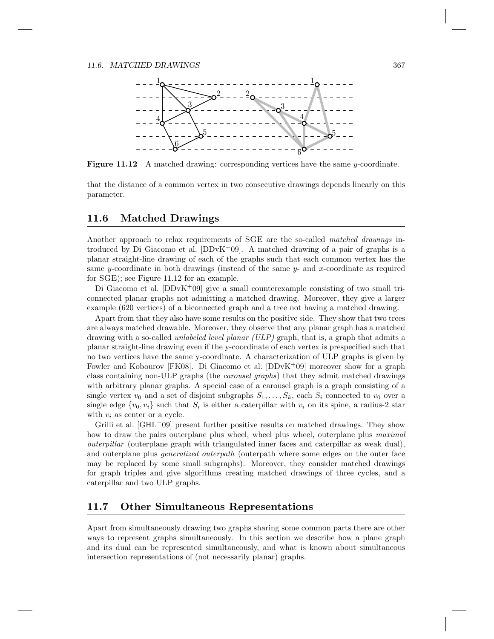

Figure 11.12 A matched drawing: corresponding vertices have the same y-coordinate.

that the distance of a common vertex in two consecutive drawings depends linearly on this parameter.

### 11.6 Matched Drawings

Another approach to relax requirements of SGE are the so-called matched drawings introduced by Di Giacomo et al.  $[DDvK^+09]$ . A matched drawing of a pair of graphs is a planar straight-line drawing of each of the graphs such that each common vertex has the same y-coordinate in both drawings (instead of the same  $y$ - and x-coordinate as required for SGE); see Figure 11.12 for an example.

Di Giacomo et al.  $[DDvK^+09]$  give a small counterexample consisting of two small triconnected planar graphs not admitting a matched drawing. Moreover, they give a larger example (620 vertices) of a biconnected graph and a tree not having a matched drawing.

Apart from that they also have some results on the positive side. They show that two trees are always matched drawable. Moreover, they observe that any planar graph has a matched drawing with a so-called *unlabeled level planar (ULP)* graph, that is, a graph that admits a planar straight-line drawing even if the y-coordinate of each vertex is prespecified such that no two vertices have the same y-coordinate. A characterization of ULP graphs is given by Fowler and Kobourov [FK08]. Di Giacomo et al. [DDvK<sup>+</sup>09] moreover show for a graph class containing non-ULP graphs (the carousel graphs) that they admit matched drawings with arbitrary planar graphs. A special case of a carousel graph is a graph consisting of a single vertex  $v_0$  and a set of disjoint subgraphs  $S_1, \ldots, S_k$ , each  $S_i$  connected to  $v_0$  over a single edge  $\{v_0, v_i\}$  such that  $S_i$  is either a caterpillar with  $v_i$  on its spine, a radius-2 star with  $v_i$  as center or a cycle.

Grilli et al.  $\left[ \text{GHL}^+09 \right]$  present further positive results on matched drawings. They show how to draw the pairs outerplane plus wheel, wheel plus wheel, outerplane plus maximal outerpillar (outerplane graph with triangulated inner faces and caterpillar as weak dual), and outerplane plus *generalized outerpath* (outerpath where some edges on the outer face may be replaced by some small subgraphs). Moreover, they consider matched drawings for graph triples and give algorithms creating matched drawings of three cycles, and a caterpillar and two ULP graphs.

### 11.7 Other Simultaneous Representations

Apart from simultaneously drawing two graphs sharing some common parts there are other ways to represent graphs simultaneously. In this section we describe how a plane graph and its dual can be represented simultaneously, and what is known about simultaneous intersection representations of (not necessarily planar) graphs.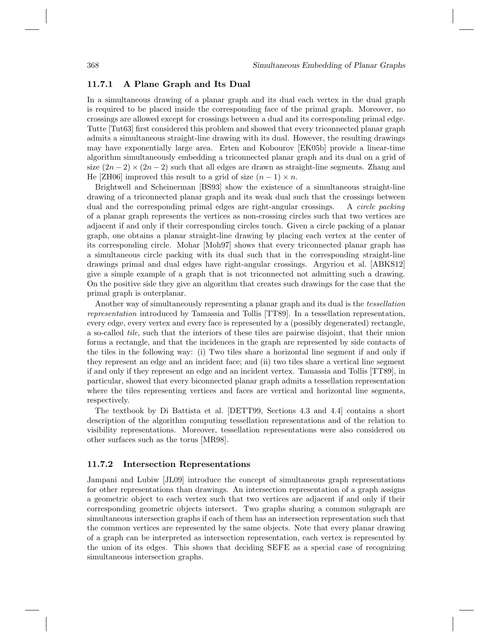### 11.7.1 A Plane Graph and Its Dual

In a simultaneous drawing of a planar graph and its dual each vertex in the dual graph is required to be placed inside the corresponding face of the primal graph. Moreover, no crossings are allowed except for crossings between a dual and its corresponding primal edge. Tutte [Tut63] first considered this problem and showed that every triconnected planar graph admits a simultaneous straight-line drawing with its dual. However, the resulting drawings may have exponentially large area. Erten and Kobourov [EK05b] provide a linear-time algorithm simultaneously embedding a triconnected planar graph and its dual on a grid of size  $(2n-2) \times (2n-2)$  such that all edges are drawn as straight-line segments. Zhang and He [ZH06] improved this result to a grid of size  $(n-1) \times n$ .

Brightwell and Scheinerman [BS93] show the existence of a simultaneous straight-line drawing of a triconnected planar graph and its weak dual such that the crossings between dual and the corresponding primal edges are right-angular crossings. A *circle packing* of a planar graph represents the vertices as non-crossing circles such that two vertices are adjacent if and only if their corresponding circles touch. Given a circle packing of a planar graph, one obtains a planar straight-line drawing by placing each vertex at the center of its corresponding circle. Mohar [Moh97] shows that every triconnected planar graph has a simultaneous circle packing with its dual such that in the corresponding straight-line drawings primal and dual edges have right-angular crossings. Argyriou et al. [ABKS12] give a simple example of a graph that is not triconnected not admitting such a drawing. On the positive side they give an algorithm that creates such drawings for the case that the primal graph is outerplanar.

Another way of simultaneously representing a planar graph and its dual is the tessellation representation introduced by Tamassia and Tollis [TT89]. In a tessellation representation, every edge, every vertex and every face is represented by a (possibly degenerated) rectangle, a so-called tile, such that the interiors of these tiles are pairwise disjoint, that their union forms a rectangle, and that the incidences in the graph are represented by side contacts of the tiles in the following way: (i) Two tiles share a horizontal line segment if and only if they represent an edge and an incident face; and (ii) two tiles share a vertical line segment if and only if they represent an edge and an incident vertex. Tamassia and Tollis [TT89], in particular, showed that every biconnected planar graph admits a tessellation representation where the tiles representing vertices and faces are vertical and horizontal line segments, respectively.

The textbook by Di Battista et al. [DETT99, Sections 4.3 and 4.4] contains a short description of the algorithm computing tessellation representations and of the relation to visibility representations. Moreover, tessellation representations were also considered on other surfaces such as the torus [MR98].

### 11.7.2 Intersection Representations

Jampani and Lubiw [JL09] introduce the concept of simultaneous graph representations for other representations than drawings. An intersection representation of a graph assigns a geometric object to each vertex such that two vertices are adjacent if and only if their corresponding geometric objects intersect. Two graphs sharing a common subgraph are simultaneous intersection graphs if each of them has an intersection representation such that the common vertices are represented by the same objects. Note that every planar drawing of a graph can be interpreted as intersection representation, each vertex is represented by the union of its edges. This shows that deciding SEFE as a special case of recognizing simultaneous intersection graphs.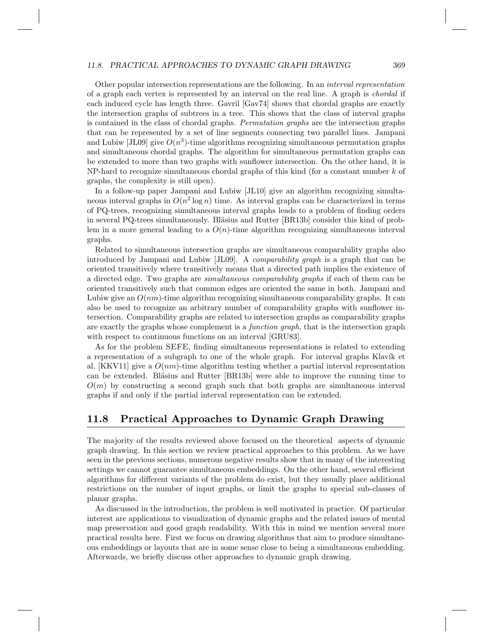### 11.8. PRACTICAL APPROACHES TO DYNAMIC GRAPH DRAWING 369

Other popular intersection representations are the following. In an interval representation of a graph each vertex is represented by an interval on the real line. A graph is chordal if each induced cycle has length three. Gavril [Gav74] shows that chordal graphs are exactly the intersection graphs of subtrees in a tree. This shows that the class of interval graphs is contained in the class of chordal graphs. Permutation graphs are the intersection graphs that can be represented by a set of line segments connecting two parallel lines. Jampani and Lubiw [JL09] give  $O(n^3)$ -time algorithms recognizing simultaneous permutation graphs and simultaneous chordal graphs. The algorithm for simultaneous permutation graphs can be extended to more than two graphs with sunflower intersection. On the other hand, it is NP-hard to recognize simultaneous chordal graphs of this kind (for a constant number  $k$  of graphs, the complexity is still open).

In a follow-up paper Jampani and Lubiw [JL10] give an algorithm recognizing simultaneous interval graphs in  $O(n^2 \log n)$  time. As interval graphs can be characterized in terms of PQ-trees, recognizing simultaneous interval graphs leads to a problem of finding orders in several PQ-trees simultaneously. Bläsius and Rutter [BR13b] consider this kind of problem in a more general leading to a  $O(n)$ -time algorithm recognizing simultaneous interval graphs.

Related to simultaneous intersection graphs are simultaneous comparability graphs also introduced by Jampani and Lubiw [JL09]. A comparability graph is a graph that can be oriented transitively where transitively means that a directed path implies the existence of a directed edge. Two graphs are simultaneous comparability graphs if each of them can be oriented transitively such that common edges are oriented the same in both. Jampani and Lubiw give an  $O(nm)$ -time algorithm recognizing simultaneous comparability graphs. It can also be used to recognize an arbitrary number of comparability graphs with sunflower intersection. Comparability graphs are related to intersection graphs as comparability graphs are exactly the graphs whose complement is a *function graph*, that is the intersection graph with respect to continuous functions on an interval [GRU83].

As for the problem SEFE, finding simultaneous representations is related to extending a representation of a subgraph to one of the whole graph. For interval graphs Klavík et al. [KKV11] give a  $O(nm)$ -time algorithm testing whether a partial interval representation can be extended. Bläsius and Rutter [BR13b] were able to improve the running time to  $O(m)$  by constructing a second graph such that both graphs are simultaneous interval graphs if and only if the partial interval representation can be extended.

## 11.8 Practical Approaches to Dynamic Graph Drawing

The majority of the results reviewed above focused on the theoretical aspects of dynamic graph drawing. In this section we review practical approaches to this problem. As we have seen in the previous sections, numerous negative results show that in many of the interesting settings we cannot guarantee simultaneous embeddings. On the other hand, several efficient algorithms for different variants of the problem do exist, but they usually place additional restrictions on the number of input graphs, or limit the graphs to special sub-classes of planar graphs.

As discussed in the introduction, the problem is well motivated in practice. Of particular interest are applications to visualization of dynamic graphs and the related issues of mental map preservation and good graph readability. With this in mind we mention several more practical results here. First we focus on drawing algorithms that aim to produce simultaneous embeddings or layouts that are in some sense close to being a simultaneous embedding. Afterwards, we briefly discuss other approaches to dynamic graph drawing.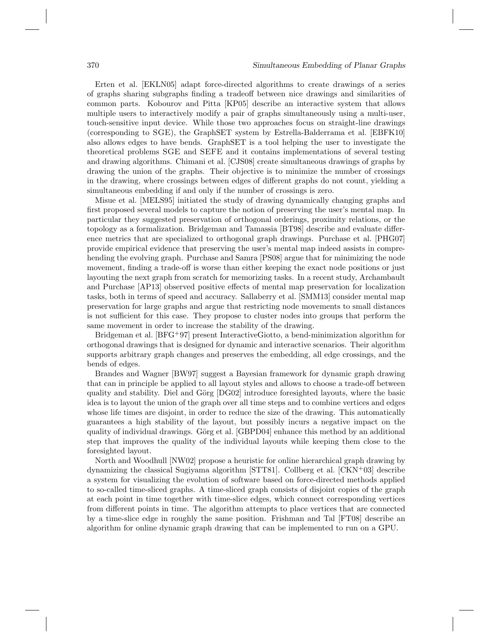Erten et al. [EKLN05] adapt force-directed algorithms to create drawings of a series of graphs sharing subgraphs finding a tradeoff between nice drawings and similarities of common parts. Kobourov and Pitta [KP05] describe an interactive system that allows multiple users to interactively modify a pair of graphs simultaneously using a multi-user, touch-sensitive input device. While those two approaches focus on straight-line drawings (corresponding to SGE), the GraphSET system by Estrella-Balderrama et al. [EBFK10] also allows edges to have bends. GraphSET is a tool helping the user to investigate the theoretical problems SGE and SEFE and it contains implementations of several testing and drawing algorithms. Chimani et al. [CJS08] create simultaneous drawings of graphs by drawing the union of the graphs. Their objective is to minimize the number of crossings in the drawing, where crossings between edges of different graphs do not count, yielding a simultaneous embedding if and only if the number of crossings is zero.

Misue et al. [MELS95] initiated the study of drawing dynamically changing graphs and first proposed several models to capture the notion of preserving the user's mental map. In particular they suggested preservation of orthogonal orderings, proximity relations, or the topology as a formalization. Bridgeman and Tamassia [BT98] describe and evaluate difference metrics that are specialized to orthogonal graph drawings. Purchase et al. [PHG07] provide empirical evidence that preserving the user's mental map indeed assists in comprehending the evolving graph. Purchase and Samra [PS08] argue that for minimizing the node movement, finding a trade-off is worse than either keeping the exact node positions or just layouting the next graph from scratch for memorizing tasks. In a recent study, Archambault and Purchase [AP13] observed positive effects of mental map preservation for localization tasks, both in terms of speed and accuracy. Sallaberry et al. [SMM13] consider mental map preservation for large graphs and argue that restricting node movements to small distances is not sufficient for this case. They propose to cluster nodes into groups that perform the same movement in order to increase the stability of the drawing.

Bridgeman et al. [BFG<sup>+</sup>97] present InteractiveGiotto, a bend-minimization algorithm for orthogonal drawings that is designed for dynamic and interactive scenarios. Their algorithm supports arbitrary graph changes and preserves the embedding, all edge crossings, and the bends of edges.

Brandes and Wagner [BW97] suggest a Bayesian framework for dynamic graph drawing that can in principle be applied to all layout styles and allows to choose a trade-off between quality and stability. Diel and Görg [DG02] introduce foresighted layouts, where the basic idea is to layout the union of the graph over all time steps and to combine vertices and edges whose life times are disjoint, in order to reduce the size of the drawing. This automatically guarantees a high stability of the layout, but possibly incurs a negative impact on the quality of individual drawings. Görg et al. [GBPD04] enhance this method by an additional step that improves the quality of the individual layouts while keeping them close to the foresighted layout.

North and Woodhull [NW02] propose a heuristic for online hierarchical graph drawing by dynamizing the classical Sugiyama algorithm [STT81]. Collberg et al. [CKN<sup>+</sup>03] describe a system for visualizing the evolution of software based on force-directed methods applied to so-called time-sliced graphs. A time-sliced graph consists of disjoint copies of the graph at each point in time together with time-slice edges, which connect corresponding vertices from different points in time. The algorithm attempts to place vertices that are connected by a time-slice edge in roughly the same position. Frishman and Tal [FT08] describe an algorithm for online dynamic graph drawing that can be implemented to run on a GPU.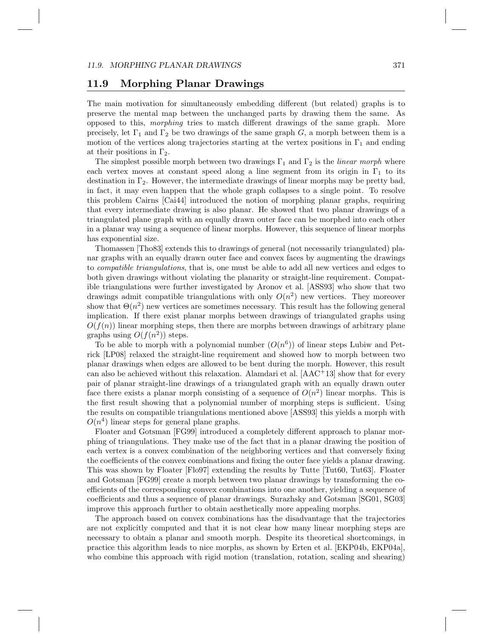### 11.9 Morphing Planar Drawings

The main motivation for simultaneously embedding different (but related) graphs is to preserve the mental map between the unchanged parts by drawing them the same. As opposed to this, morphing tries to match different drawings of the same graph. More precisely, let  $\Gamma_1$  and  $\Gamma_2$  be two drawings of the same graph G, a morph between them is a motion of the vertices along trajectories starting at the vertex positions in  $\Gamma_1$  and ending at their positions in  $\Gamma_2$ .

The simplest possible morph between two drawings  $\Gamma_1$  and  $\Gamma_2$  is the *linear morph* where each vertex moves at constant speed along a line segment from its origin in  $\Gamma_1$  to its destination in  $\Gamma_2$ . However, the intermediate drawings of linear morphs may be pretty bad, in fact, it may even happen that the whole graph collapses to a single point. To resolve this problem Cairns [Cai44] introduced the notion of morphing planar graphs, requiring that every intermediate drawing is also planar. He showed that two planar drawings of a triangulated plane graph with an equally drawn outer face can be morphed into each other in a planar way using a sequence of linear morphs. However, this sequence of linear morphs has exponential size.

Thomassen [Tho83] extends this to drawings of general (not necessarily triangulated) planar graphs with an equally drawn outer face and convex faces by augmenting the drawings to compatible triangulations, that is, one must be able to add all new vertices and edges to both given drawings without violating the planarity or straight-line requirement. Compatible triangulations were further investigated by Aronov et al. [ASS93] who show that two drawings admit compatible triangulations with only  $O(n^2)$  new vertices. They moreover show that  $\Theta(n^2)$  new vertices are sometimes necessary. This result has the following general implication. If there exist planar morphs between drawings of triangulated graphs using  $O(f(n))$  linear morphing steps, then there are morphs between drawings of arbitrary plane graphs using  $O(f(n^2))$  steps.

To be able to morph with a polynomial number  $(O(n^6))$  of linear steps Lubiw and Petrick [LP08] relaxed the straight-line requirement and showed how to morph between two planar drawings when edges are allowed to be bent during the morph. However, this result can also be achieved without this relaxation. Alamdari et al.  $[AAC^+13]$  show that for every pair of planar straight-line drawings of a triangulated graph with an equally drawn outer face there exists a planar morph consisting of a sequence of  $O(n^2)$  linear morphs. This is the first result showing that a polynomial number of morphing steps is sufficient. Using the results on compatible triangulations mentioned above [ASS93] this yields a morph with  $O(n<sup>4</sup>)$  linear steps for general plane graphs.

Floater and Gotsman [FG99] introduced a completely different approach to planar morphing of triangulations. They make use of the fact that in a planar drawing the position of each vertex is a convex combination of the neighboring vertices and that conversely fixing the coefficients of the convex combinations and fixing the outer face yields a planar drawing. This was shown by Floater [Flo97] extending the results by Tutte [Tut60, Tut63]. Floater and Gotsman [FG99] create a morph between two planar drawings by transforming the coefficients of the corresponding convex combinations into one another, yielding a sequence of coefficients and thus a sequence of planar drawings. Surazhsky and Gotsman [SG01, SG03] improve this approach further to obtain aesthetically more appealing morphs.

The approach based on convex combinations has the disadvantage that the trajectories are not explicitly computed and that it is not clear how many linear morphing steps are necessary to obtain a planar and smooth morph. Despite its theoretical shortcomings, in practice this algorithm leads to nice morphs, as shown by Erten et al. [EKP04b, EKP04a], who combine this approach with rigid motion (translation, rotation, scaling and shearing)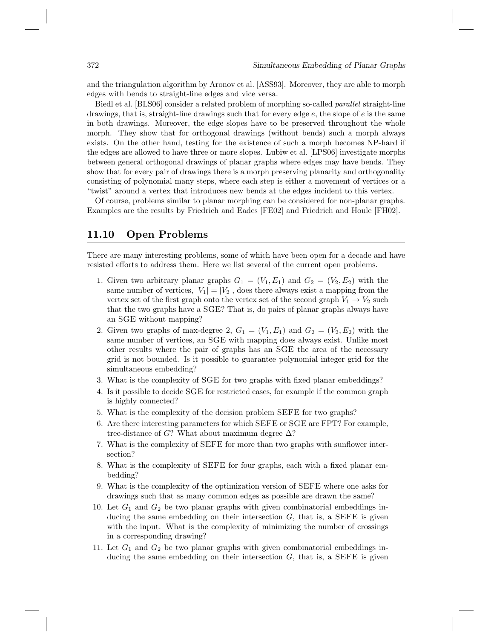and the triangulation algorithm by Aronov et al. [ASS93]. Moreover, they are able to morph edges with bends to straight-line edges and vice versa.

Biedl et al. [BLS06] consider a related problem of morphing so-called parallel straight-line drawings, that is, straight-line drawings such that for every edge  $e$ , the slope of  $e$  is the same in both drawings. Moreover, the edge slopes have to be preserved throughout the whole morph. They show that for orthogonal drawings (without bends) such a morph always exists. On the other hand, testing for the existence of such a morph becomes NP-hard if the edges are allowed to have three or more slopes. Lubiw et al. [LPS06] investigate morphs between general orthogonal drawings of planar graphs where edges may have bends. They show that for every pair of drawings there is a morph preserving planarity and orthogonality consisting of polynomial many steps, where each step is either a movement of vertices or a "twist" around a vertex that introduces new bends at the edges incident to this vertex.

Of course, problems similar to planar morphing can be considered for non-planar graphs. Examples are the results by Friedrich and Eades [FE02] and Friedrich and Houle [FH02].

# 11.10 Open Problems

There are many interesting problems, some of which have been open for a decade and have resisted efforts to address them. Here we list several of the current open problems.

- 1. Given two arbitrary planar graphs  $G_1 = (V_1, E_1)$  and  $G_2 = (V_2, E_2)$  with the same number of vertices,  $|V_1| = |V_2|$ , does there always exist a mapping from the vertex set of the first graph onto the vertex set of the second graph  $V_1 \rightarrow V_2$  such that the two graphs have a SGE? That is, do pairs of planar graphs always have an SGE without mapping?
- 2. Given two graphs of max-degree 2,  $G_1 = (V_1, E_1)$  and  $G_2 = (V_2, E_2)$  with the same number of vertices, an SGE with mapping does always exist. Unlike most other results where the pair of graphs has an SGE the area of the necessary grid is not bounded. Is it possible to guarantee polynomial integer grid for the simultaneous embedding?
- 3. What is the complexity of SGE for two graphs with fixed planar embeddings?
- 4. Is it possible to decide SGE for restricted cases, for example if the common graph is highly connected?
- 5. What is the complexity of the decision problem SEFE for two graphs?
- 6. Are there interesting parameters for which SEFE or SGE are FPT? For example, tree-distance of G? What about maximum degree  $\Delta$ ?
- 7. What is the complexity of SEFE for more than two graphs with sunflower intersection?
- 8. What is the complexity of SEFE for four graphs, each with a fixed planar embedding?
- 9. What is the complexity of the optimization version of SEFE where one asks for drawings such that as many common edges as possible are drawn the same?
- 10. Let  $G_1$  and  $G_2$  be two planar graphs with given combinatorial embeddings inducing the same embedding on their intersection  $G$ , that is, a SEFE is given with the input. What is the complexity of minimizing the number of crossings in a corresponding drawing?
- 11. Let  $G_1$  and  $G_2$  be two planar graphs with given combinatorial embeddings inducing the same embedding on their intersection  $G$ , that is, a SEFE is given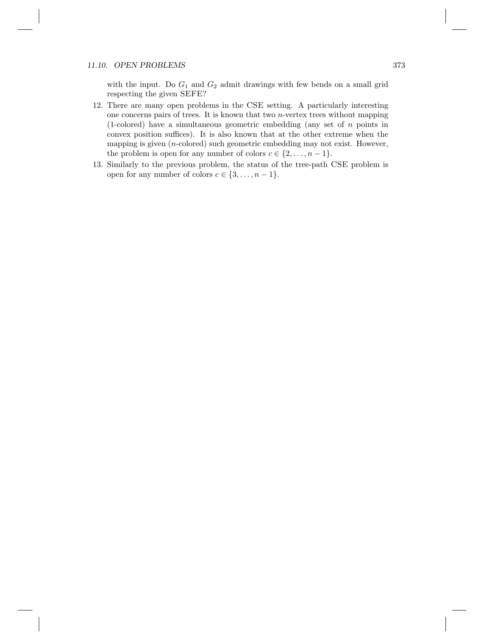with the input. Do  $G_1$  and  $G_2$  admit drawings with few bends on a small grid respecting the given SEFE?

- 12. There are many open problems in the CSE setting. A particularly interesting one concerns pairs of trees. It is known that two n-vertex trees without mapping  $(1$ -colored) have a simultaneous geometric embedding (any set of n points in convex position suffices). It is also known that at the other extreme when the mapping is given (n-colored) such geometric embedding may not exist. However, the problem is open for any number of colors  $c \in \{2, \ldots, n-1\}.$
- 13. Similarly to the previous problem, the status of the tree-path CSE problem is open for any number of colors  $c \in \{3, \ldots, n-1\}.$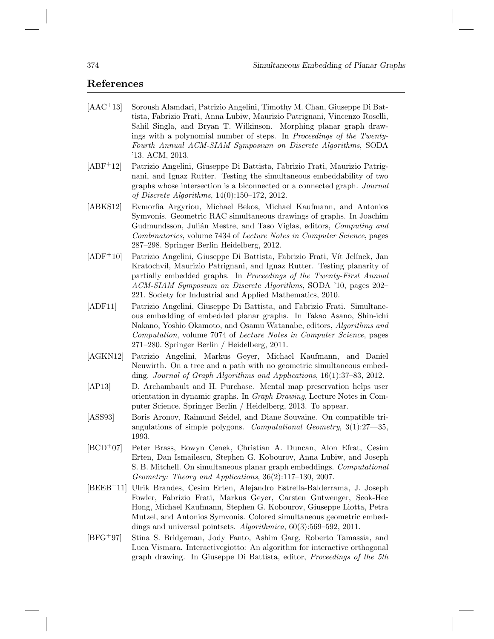### References

- [AAC+13] Soroush Alamdari, Patrizio Angelini, Timothy M. Chan, Giuseppe Di Battista, Fabrizio Frati, Anna Lubiw, Maurizio Patrignani, Vincenzo Roselli, Sahil Singla, and Bryan T. Wilkinson. Morphing planar graph drawings with a polynomial number of steps. In Proceedings of the Twenty-Fourth Annual ACM-SIAM Symposium on Discrete Algorithms, SODA '13. ACM, 2013.
- [ABF+12] Patrizio Angelini, Giuseppe Di Battista, Fabrizio Frati, Maurizio Patrignani, and Ignaz Rutter. Testing the simultaneous embeddability of two graphs whose intersection is a biconnected or a connected graph. Journal of Discrete Algorithms, 14(0):150–172, 2012.
- [ABKS12] Evmorfia Argyriou, Michael Bekos, Michael Kaufmann, and Antonios Symvonis. Geometric RAC simultaneous drawings of graphs. In Joachim Gudmundsson, Julián Mestre, and Taso Viglas, editors, Computing and Combinatorics, volume 7434 of Lecture Notes in Computer Science, pages 287–298. Springer Berlin Heidelberg, 2012.
- [ADF<sup>+</sup>10] Patrizio Angelini, Giuseppe Di Battista, Fabrizio Frati, Vít Jelínek, Jan Kratochvíl, Maurizio Patrignani, and Ignaz Rutter. Testing planarity of partially embedded graphs. In Proceedings of the Twenty-First Annual ACM-SIAM Symposium on Discrete Algorithms, SODA '10, pages 202– 221. Society for Industrial and Applied Mathematics, 2010.
- [ADF11] Patrizio Angelini, Giuseppe Di Battista, and Fabrizio Frati. Simultaneous embedding of embedded planar graphs. In Takao Asano, Shin-ichi Nakano, Yoshio Okamoto, and Osamu Watanabe, editors, Algorithms and Computation, volume 7074 of Lecture Notes in Computer Science, pages 271–280. Springer Berlin / Heidelberg, 2011.
- [AGKN12] Patrizio Angelini, Markus Geyer, Michael Kaufmann, and Daniel Neuwirth. On a tree and a path with no geometric simultaneous embedding. Journal of Graph Algorithms and Applications, 16(1):37–83, 2012.
- [AP13] D. Archambault and H. Purchase. Mental map preservation helps user orientation in dynamic graphs. In Graph Drawing, Lecture Notes in Computer Science. Springer Berlin / Heidelberg, 2013. To appear.
- [ASS93] Boris Aronov, Raimund Seidel, and Diane Souvaine. On compatible triangulations of simple polygons. Computational Geometry, 3(1):27—35, 1993.
- [BCD<sup>+</sup>07] Peter Brass, Eowyn Cenek, Christian A. Duncan, Alon Efrat, Cesim Erten, Dan Ismailescu, Stephen G. Kobourov, Anna Lubiw, and Joseph S. B. Mitchell. On simultaneous planar graph embeddings. Computational Geometry: Theory and Applications, 36(2):117–130, 2007.
- [BEEB<sup>+</sup>11] Ulrik Brandes, Cesim Erten, Alejandro Estrella-Balderrama, J. Joseph Fowler, Fabrizio Frati, Markus Geyer, Carsten Gutwenger, Seok-Hee Hong, Michael Kaufmann, Stephen G. Kobourov, Giuseppe Liotta, Petra Mutzel, and Antonios Symvonis. Colored simultaneous geometric embeddings and universal pointsets. Algorithmica,  $60(3):569-592$ , 2011.
- [BFG<sup>+</sup>97] Stina S. Bridgeman, Jody Fanto, Ashim Garg, Roberto Tamassia, and Luca Vismara. Interactivegiotto: An algorithm for interactive orthogonal graph drawing. In Giuseppe Di Battista, editor, Proceedings of the 5th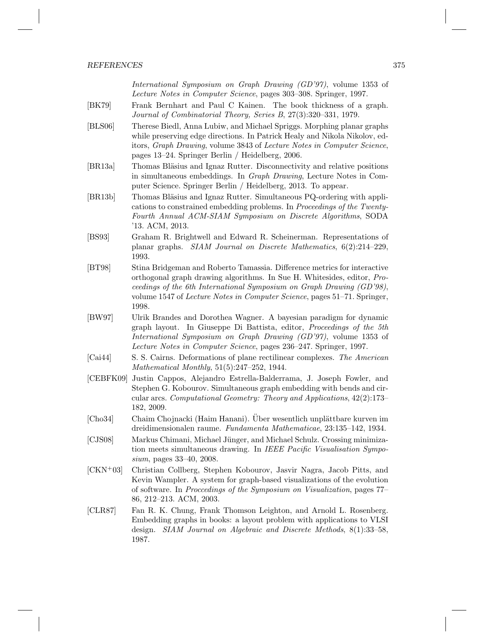International Symposium on Graph Drawing (GD'97), volume 1353 of Lecture Notes in Computer Science, pages 303–308. Springer, 1997.

- [BK79] Frank Bernhart and Paul C Kainen. The book thickness of a graph. Journal of Combinatorial Theory, Series B, 27(3):320–331, 1979.
- [BLS06] Therese Biedl, Anna Lubiw, and Michael Spriggs. Morphing planar graphs while preserving edge directions. In Patrick Healy and Nikola Nikolov, editors, Graph Drawing, volume 3843 of Lecture Notes in Computer Science, pages 13–24. Springer Berlin / Heidelberg, 2006.
- [BR13a] Thomas Bläsius and Ignaz Rutter. Disconnectivity and relative positions in simultaneous embeddings. In Graph Drawing, Lecture Notes in Computer Science. Springer Berlin / Heidelberg, 2013. To appear.
- [BR13b] Thomas Bläsius and Ignaz Rutter. Simultaneous PQ-ordering with applications to constrained embedding problems. In Proceedings of the Twenty-Fourth Annual ACM-SIAM Symposium on Discrete Algorithms, SODA '13. ACM, 2013.
- [BS93] Graham R. Brightwell and Edward R. Scheinerman. Representations of planar graphs. SIAM Journal on Discrete Mathematics, 6(2):214–229, 1993.
- [BT98] Stina Bridgeman and Roberto Tamassia. Difference metrics for interactive orthogonal graph drawing algorithms. In Sue H. Whitesides, editor, Proceedings of the 6th International Symposium on Graph Drawing (GD'98), volume 1547 of Lecture Notes in Computer Science, pages 51–71. Springer, 1998.
- [BW97] Ulrik Brandes and Dorothea Wagner. A bayesian paradigm for dynamic graph layout. In Giuseppe Di Battista, editor, Proceedings of the 5th International Symposium on Graph Drawing (GD'97), volume 1353 of Lecture Notes in Computer Science, pages 236–247. Springer, 1997.
- [Cai44] S. S. Cairns. Deformations of plane rectilinear complexes. The American Mathematical Monthly, 51(5):247–252, 1944.
- [CEBFK09] Justin Cappos, Alejandro Estrella-Balderrama, J. Joseph Fowler, and Stephen G. Kobourov. Simultaneous graph embedding with bends and circular arcs. Computational Geometry: Theory and Applications, 42(2):173– 182, 2009.
- $[Cho34]$  Chaim Chojnacki (Haim Hanani). Über wesentlich unplättbare kurven im dreidimensionalen raume. Fundamenta Mathematicae, 23:135–142, 1934.
- [CJS08] Markus Chimani, Michael Jünger, and Michael Schulz. Crossing minimization meets simultaneous drawing. In IEEE Pacific Visualisation Symposium, pages 33–40, 2008.
- [CKN<sup>+</sup>03] Christian Collberg, Stephen Kobourov, Jasvir Nagra, Jacob Pitts, and Kevin Wampler. A system for graph-based visualizations of the evolution of software. In Proccedings of the Symposium on Visualization, pages 77– 86, 212–213. ACM, 2003.
- [CLR87] Fan R. K. Chung, Frank Thomson Leighton, and Arnold L. Rosenberg. Embedding graphs in books: a layout problem with applications to VLSI design. SIAM Journal on Algebraic and Discrete Methods, 8(1):33–58, 1987.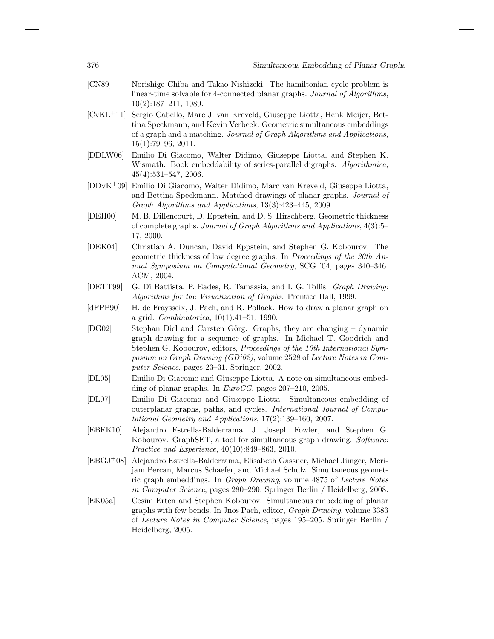| 376          | Simultaneous Embedding of Planar Graphs                                                                                                                                                                                                                                                                                                      |
|--------------|----------------------------------------------------------------------------------------------------------------------------------------------------------------------------------------------------------------------------------------------------------------------------------------------------------------------------------------------|
| [CN89]       | Norishige Chiba and Takao Nishizeki. The hamiltonian cycle problem is<br>linear-time solvable for 4-connected planar graphs. Journal of Algorithms,<br>$10(2):187-211, 1989.$                                                                                                                                                                |
| $[CvKL+11]$  | Sergio Cabello, Marc J. van Kreveld, Giuseppe Liotta, Henk Meijer, Bet-<br>tina Speckmann, and Kevin Verbeek. Geometric simultaneous embeddings<br>of a graph and a matching. Journal of Graph Algorithms and Applications,<br>$15(1):79-96, 2011.$                                                                                          |
| [DDLWO6]     | Emilio Di Giacomo, Walter Didimo, Giuseppe Liotta, and Stephen K.<br>Wismath. Book embeddability of series-parallel digraphs. Algorithmica,<br>$45(4):531-547, 2006.$                                                                                                                                                                        |
| $[DDvK^+09]$ | Emilio Di Giacomo, Walter Didimo, Marc van Kreveld, Giuseppe Liotta,<br>and Bettina Speckmann. Matched drawings of planar graphs. Journal of<br>Graph Algorithms and Applications, 13(3):423-445, 2009.                                                                                                                                      |
| [DEH00]      | M. B. Dillencourt, D. Eppstein, and D. S. Hirschberg. Geometric thickness<br>of complete graphs. Journal of Graph Algorithms and Applications, 4(3):5-<br>17, 2000.                                                                                                                                                                          |
| [DEK04]      | Christian A. Duncan, David Eppstein, and Stephen G. Kobourov. The<br>geometric thickness of low degree graphs. In Proceedings of the 20th An-<br>nual Symposium on Computational Geometry, SCG '04, pages 340-346.<br>ACM, 2004.                                                                                                             |
| [DETT99]     | G. Di Battista, P. Eades, R. Tamassia, and I. G. Tollis. Graph Drawing:<br>Algorithms for the Visualization of Graphs. Prentice Hall, 1999.                                                                                                                                                                                                  |
| [dFPP90]     | H. de Fraysseix, J. Pach, and R. Pollack. How to draw a planar graph on<br>a grid. <i>Combinatorica</i> , $10(1):41-51$ , 1990.                                                                                                                                                                                                              |
| [DG02]       | Stephan Diel and Carsten Görg. Graphs, they are changing - dynamic<br>graph drawing for a sequence of graphs. In Michael T. Goodrich and<br>Stephen G. Kobourov, editors, Proceedings of the 10th International Sym-<br>posium on Graph Drawing (GD'02), volume 2528 of Lecture Notes in Com-<br>puter Science, pages 23–31. Springer, 2002. |
| [DL05]       | Emilio Di Giacomo and Giuseppe Liotta. A note on simultaneous embed-<br>ding of planar graphs. In $EuroCG$ , pages 207-210, 2005.                                                                                                                                                                                                            |
| [DL07]       | Emilio Di Giacomo and Giuseppe Liotta. Simultaneous embedding of<br>outerplanar graphs, paths, and cycles. International Journal of Compu-<br>tational Geometry and Applications, $17(2):139-160$ , 2007.                                                                                                                                    |

- [EBFK10] Alejandro Estrella-Balderrama, J. Joseph Fowler, and Stephen G. Kobourov. GraphSET, a tool for simultaneous graph drawing. Software: Practice and Experience, 40(10):849–863, 2010.
- [EBGJ<sup>+</sup>08] Alejandro Estrella-Balderrama, Elisabeth Gassner, Michael Jünger, Merijam Percan, Marcus Schaefer, and Michael Schulz. Simultaneous geometric graph embeddings. In Graph Drawing, volume 4875 of Lecture Notes in Computer Science, pages 280–290. Springer Berlin / Heidelberg, 2008.
- [EK05a] Cesim Erten and Stephen Kobourov. Simultaneous embedding of planar graphs with few bends. In Jnos Pach, editor, Graph Drawing, volume 3383 of Lecture Notes in Computer Science, pages 195–205. Springer Berlin / Heidelberg, 2005.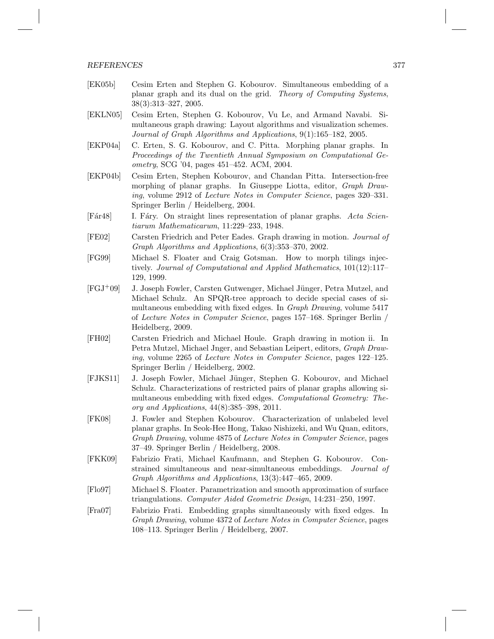### REFERENCES 377

- [EK05b] Cesim Erten and Stephen G. Kobourov. Simultaneous embedding of a planar graph and its dual on the grid. Theory of Computing Systems, 38(3):313–327, 2005.
- [EKLN05] Cesim Erten, Stephen G. Kobourov, Vu Le, and Armand Navabi. Simultaneous graph drawing: Layout algorithms and visualization schemes. Journal of Graph Algorithms and Applications, 9(1):165–182, 2005.
- [EKP04a] C. Erten, S. G. Kobourov, and C. Pitta. Morphing planar graphs. In Proceedings of the Twentieth Annual Symposium on Computational Geometry, SCG '04, pages 451–452. ACM, 2004.
- [EKP04b] Cesim Erten, Stephen Kobourov, and Chandan Pitta. Intersection-free morphing of planar graphs. In Giuseppe Liotta, editor, Graph Drawing, volume 2912 of Lecture Notes in Computer Science, pages 320–331. Springer Berlin / Heidelberg, 2004.
- [Fár48] I. Fáry. On straight lines representation of planar graphs. Acta Scientiarum Mathematicarum, 11:229–233, 1948.
- [FE02] Carsten Friedrich and Peter Eades. Graph drawing in motion. Journal of Graph Algorithms and Applications, 6(3):353–370, 2002.
- [FG99] Michael S. Floater and Craig Gotsman. How to morph tilings injectively. Journal of Computational and Applied Mathematics, 101(12):117– 129, 1999.
- [FGJ<sup>+</sup>09] J. Joseph Fowler, Carsten Gutwenger, Michael J¨unger, Petra Mutzel, and Michael Schulz. An SPQR-tree approach to decide special cases of simultaneous embedding with fixed edges. In Graph Drawing, volume 5417 of Lecture Notes in Computer Science, pages 157–168. Springer Berlin / Heidelberg, 2009.
- [FH02] Carsten Friedrich and Michael Houle. Graph drawing in motion ii. In Petra Mutzel, Michael Jnger, and Sebastian Leipert, editors, Graph Drawing, volume 2265 of Lecture Notes in Computer Science, pages 122–125. Springer Berlin / Heidelberg, 2002.
- [FJKS11] J. Joseph Fowler, Michael Jünger, Stephen G. Kobourov, and Michael Schulz. Characterizations of restricted pairs of planar graphs allowing simultaneous embedding with fixed edges. Computational Geometry: Theory and Applications, 44(8):385–398, 2011.
- [FK08] J. Fowler and Stephen Kobourov. Characterization of unlabeled level planar graphs. In Seok-Hee Hong, Takao Nishizeki, and Wu Quan, editors, Graph Drawing, volume 4875 of Lecture Notes in Computer Science, pages 37–49. Springer Berlin / Heidelberg, 2008.
- [FKK09] Fabrizio Frati, Michael Kaufmann, and Stephen G. Kobourov. Constrained simultaneous and near-simultaneous embeddings. Journal of Graph Algorithms and Applications, 13(3):447–465, 2009.
- [Flo97] Michael S. Floater. Parametrization and smooth approximation of surface triangulations. Computer Aided Geometric Design, 14:231–250, 1997.
- [Fra07] Fabrizio Frati. Embedding graphs simultaneously with fixed edges. In Graph Drawing, volume 4372 of Lecture Notes in Computer Science, pages 108–113. Springer Berlin / Heidelberg, 2007.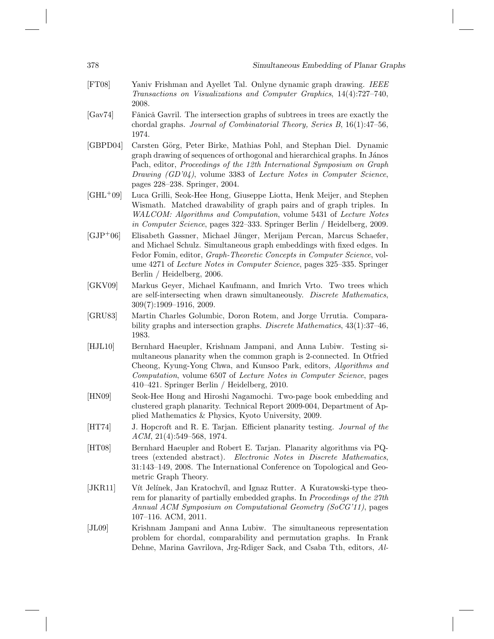| 378        | Simultaneous Embedding of Planar Graphs                                                                                                                                                                                                                                                                                                   |
|------------|-------------------------------------------------------------------------------------------------------------------------------------------------------------------------------------------------------------------------------------------------------------------------------------------------------------------------------------------|
| [FT08]     | Yaniv Frishman and Ayellet Tal. Onlyne dynamic graph drawing. IEEE<br>Transactions on Visualizations and Computer Graphics, 14(4):727-740,<br>2008.                                                                                                                                                                                       |
| [Gav74]    | Fănică Gavril. The intersection graphs of subtrees in trees are exactly the<br>chordal graphs. Journal of Combinatorial Theory, Series B, 16(1):47-56,<br>1974.                                                                                                                                                                           |
| [GBPD04]   | Carsten Görg, Peter Birke, Mathias Pohl, and Stephan Diel. Dynamic<br>graph drawing of sequences of orthogonal and hierarchical graphs. In János<br>Pach, editor, <i>Proceedings of the 12th International Symposium on Graph</i><br>Drawing (GD'04), volume 3383 of Lecture Notes in Computer Science,<br>pages 228–238. Springer, 2004. |
| $[GHL+09]$ | Luca Grilli, Seok-Hee Hong, Giuseppe Liotta, Henk Meijer, and Stephen<br>Wismath. Matched drawability of graph pairs and of graph triples. In<br>WALCOM: Algorithms and Computation, volume 5431 of Lecture Notes<br>in Computer Science, pages 322-333. Springer Berlin / Heidelberg, 2009.                                              |
| $[GJP+06]$ | Elisabeth Gassner, Michael Jünger, Merijam Percan, Marcus Schaefer,<br>and Michael Schulz. Simultaneous graph embeddings with fixed edges. In<br>Fedor Fomin, editor, Graph-Theoretic Concepts in Computer Science, vol-<br>ume 4271 of <i>Lecture Notes in Computer Science</i> , pages 325–335. Springer<br>Berlin / Heidelberg, 2006.  |
| [GKV09]    | Markus Geyer, Michael Kaufmann, and Imrich Vrto. Two trees which<br>are self-intersecting when drawn simultaneously. Discrete Mathematics,<br>$309(7):1909-1916, 2009.$                                                                                                                                                                   |
| [GRU83]    | Martin Charles Golumbic, Doron Rotem, and Jorge Urrutia. Compara-<br>bility graphs and intersection graphs. <i>Discrete Mathematics</i> , 43(1):37-46,<br>1983.                                                                                                                                                                           |
| [HJL10]    | Bernhard Haeupler, Krishnam Jampani, and Anna Lubiw. Testing si-<br>multaneous planarity when the common graph is 2-connected. In Otfried<br>Cheong, Kyung-Yong Chwa, and Kunsoo Park, editors, Algorithms and<br>Computation, volume 6507 of Lecture Notes in Computer Science, pages<br>410–421. Springer Berlin / Heidelberg, 2010.    |
| [HN09]     | Seok-Hee Hong and Hiroshi Nagamochi. Two-page book embedding and<br>clustered graph planarity. Technical Report 2009-004, Department of Ap-<br>plied Mathematics & Physics, Kyoto University, 2009.                                                                                                                                       |
| [HT74]     | J. Hopcroft and R. E. Tarjan. Efficient planarity testing. Journal of the<br>$ACM$ , 21(4):549-568, 1974.                                                                                                                                                                                                                                 |
| [HT08]     | Bernhard Haeupler and Robert E. Tarjan. Planarity algorithms via PQ-<br>trees (extended abstract).<br>Electronic Notes in Discrete Mathematics,                                                                                                                                                                                           |

- 31:143–149, 2008. The International Conference on Topological and Geometric Graph Theory. [JKR11] Vít Jelínek, Jan Kratochvíl, and Ignaz Rutter. A Kuratowski-type theorem for planarity of partially embedded graphs. In Proceedings of the 27th
- Annual ACM Symposium on Computational Geometry (SoCG'11), pages 107–116. ACM, 2011. [JL09] Krishnam Jampani and Anna Lubiw. The simultaneous representation problem for chordal, comparability and permutation graphs. In Frank

Dehne, Marina Gavrilova, Jrg-Rdiger Sack, and Csaba Tth, editors, Al-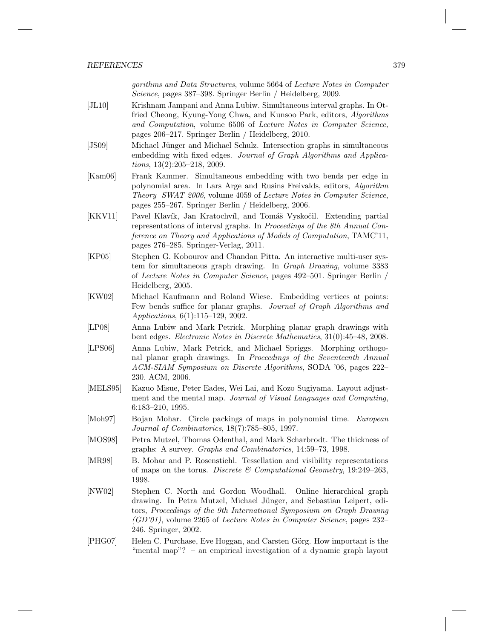gorithms and Data Structures, volume 5664 of Lecture Notes in Computer Science, pages 387–398. Springer Berlin / Heidelberg, 2009.

- [JL10] Krishnam Jampani and Anna Lubiw. Simultaneous interval graphs. In Otfried Cheong, Kyung-Yong Chwa, and Kunsoo Park, editors, Algorithms and Computation, volume 6506 of Lecture Notes in Computer Science, pages 206–217. Springer Berlin / Heidelberg, 2010.
- [JS09] Michael Jünger and Michael Schulz. Intersection graphs in simultaneous embedding with fixed edges. Journal of Graph Algorithms and Applications, 13(2):205–218, 2009.
- [Kam06] Frank Kammer. Simultaneous embedding with two bends per edge in polynomial area. In Lars Arge and Rusins Freivalds, editors, Algorithm Theory SWAT 2006, volume 4059 of Lecture Notes in Computer Science, pages 255–267. Springer Berlin / Heidelberg, 2006.
- [KKV11] Pavel Klavík, Jan Kratochvíl, and Tomáš Vyskočil. Extending partial representations of interval graphs. In Proceedings of the 8th Annual Conference on Theory and Applications of Models of Computation, TAMC'11, pages 276–285. Springer-Verlag, 2011.
- [KP05] Stephen G. Kobourov and Chandan Pitta. An interactive multi-user system for simultaneous graph drawing. In Graph Drawing, volume 3383 of Lecture Notes in Computer Science, pages 492–501. Springer Berlin / Heidelberg, 2005.
- [KW02] Michael Kaufmann and Roland Wiese. Embedding vertices at points: Few bends suffice for planar graphs. Journal of Graph Algorithms and Applications, 6(1):115–129, 2002.
- [LP08] Anna Lubiw and Mark Petrick. Morphing planar graph drawings with bent edges. Electronic Notes in Discrete Mathematics, 31(0):45–48, 2008.
- [LPS06] Anna Lubiw, Mark Petrick, and Michael Spriggs. Morphing orthogonal planar graph drawings. In Proceedings of the Seventeenth Annual ACM-SIAM Symposium on Discrete Algorithms, SODA '06, pages 222– 230. ACM, 2006.
- [MELS95] Kazuo Misue, Peter Eades, Wei Lai, and Kozo Sugiyama. Layout adjustment and the mental map. Journal of Visual Languages and Computing, 6:183–210, 1995.
- [Moh97] Bojan Mohar. Circle packings of maps in polynomial time. European Journal of Combinatorics, 18(7):785–805, 1997.
- [MOS98] Petra Mutzel, Thomas Odenthal, and Mark Scharbrodt. The thickness of graphs: A survey. Graphs and Combinatorics, 14:59–73, 1998.
- [MR98] B. Mohar and P. Rosenstiehl. Tessellation and visibility representations of maps on the torus. Discrete  $\mathcal C$  Computational Geometry, 19:249–263, 1998.
- [NW02] Stephen C. North and Gordon Woodhall. Online hierarchical graph drawing. In Petra Mutzel, Michael Jünger, and Sebastian Leipert, editors, Proceedings of the 9th International Symposium on Graph Drawing (GD'01), volume 2265 of Lecture Notes in Computer Science, pages 232– 246. Springer, 2002.
- [PHG07] Helen C. Purchase, Eve Hoggan, and Carsten Görg. How important is the "mental map"? – an empirical investigation of a dynamic graph layout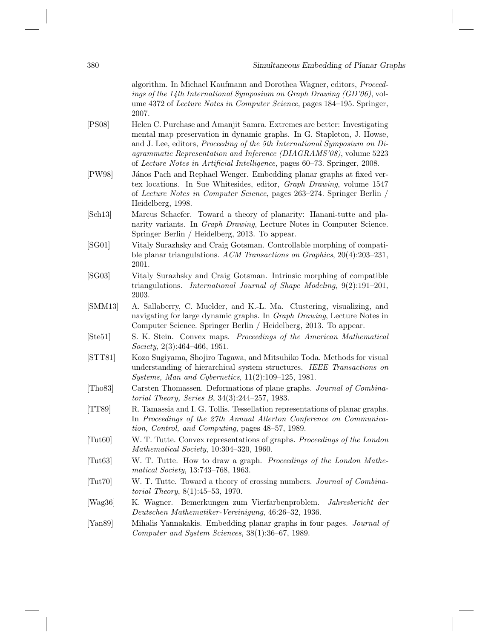| 380              | Simultaneous Embedding of Planar Graphs                                                                                                                                                                                                                                                                                                                                                  |
|------------------|------------------------------------------------------------------------------------------------------------------------------------------------------------------------------------------------------------------------------------------------------------------------------------------------------------------------------------------------------------------------------------------|
|                  | algorithm. In Michael Kaufmann and Dorothea Wagner, editors, Proceed-<br>ings of the 14th International Symposium on Graph Drawing (GD'06), vol-<br>ume 4372 of <i>Lecture Notes in Computer Science</i> , pages 184–195. Springer,<br>2007.                                                                                                                                             |
| [PS08]           | Helen C. Purchase and Amanjit Samra. Extremes are better: Investigating<br>mental map preservation in dynamic graphs. In G. Stapleton, J. Howse,<br>and J. Lee, editors, <i>Proceeding of the 5th International Symposium on Di</i> -<br>agrammatic Representation and Inference (DIAGRAMS'08), volume 5223<br>of Lecture Notes in Artificial Intelligence, pages 60–73. Springer, 2008. |
| [PW98]           | János Pach and Rephael Wenger. Embedding planar graphs at fixed ver-<br>tex locations. In Sue Whitesides, editor, <i>Graph Drawing</i> , volume 1547<br>of Lecture Notes in Computer Science, pages 263-274. Springer Berlin /<br>Heidelberg, 1998.                                                                                                                                      |
| [Sch13]          | Marcus Schaefer. Toward a theory of planarity: Hanani-tutte and pla-<br>narity variants. In <i>Graph Drawing</i> , Lecture Notes in Computer Science.<br>Springer Berlin / Heidelberg, 2013. To appear.                                                                                                                                                                                  |
| [SG01]           | Vitaly Surazhsky and Craig Gotsman. Controllable morphing of compati-<br>ble planar triangulations. ACM Transactions on Graphics, $20(4):203-231$ ,<br>2001.                                                                                                                                                                                                                             |
| [SG03]           | Vitaly Surazhsky and Craig Gotsman. Intrinsic morphing of compatible<br>triangulations. <i>International Journal of Shape Modeling</i> , $9(2):191-201$ ,<br>2003.                                                                                                                                                                                                                       |
| [SMM13]          | A. Sallaberry, C. Muelder, and K.-L. Ma. Clustering, visualizing, and<br>navigating for large dynamic graphs. In Graph Drawing, Lecture Notes in<br>Computer Science. Springer Berlin / Heidelberg, 2013. To appear.                                                                                                                                                                     |
| [Ste51]          | S. K. Stein. Convex maps. Proceedings of the American Mathematical<br>Society, $2(3):464-466, 1951.$                                                                                                                                                                                                                                                                                     |
| STT81            | Kozo Sugiyama, Shojiro Tagawa, and Mitsuhiko Toda. Methods for visual<br>understanding of hierarchical system structures. IEEE Transactions on<br>Systems, Man and Cybernetics, $11(2):109-125$ , 1981.                                                                                                                                                                                  |
| [Tho83]          | Carsten Thomassen. Deformations of plane graphs. Journal of Combina-<br>torial Theory, Series B, $34(3):244-257$ , 1983.                                                                                                                                                                                                                                                                 |
| [TT89]           | R. Tamassia and I. G. Tollis. Tessellation representations of planar graphs.<br>In Proceedings of the 27th Annual Allerton Conference on Communica-<br>tion, Control, and Computing, pages 48–57, 1989.                                                                                                                                                                                  |
| [Tut60]          | W. T. Tutte. Convex representations of graphs. Proceedings of the London<br>Mathematical Society, 10:304-320, 1960.                                                                                                                                                                                                                                                                      |
| [Tut63]          | W. T. Tutte. How to draw a graph. Proceedings of the London Mathe-<br>matical Society, 13:743-768, 1963.                                                                                                                                                                                                                                                                                 |
| $[\text{Tut}70]$ | W. T. Tutte. Toward a theory of crossing numbers. Journal of Combina-<br><i>torial Theory</i> , $8(1):45-53$ , 1970.                                                                                                                                                                                                                                                                     |
| [ $Wag36$ ]      | K. Wagner. Bemerkungen zum Vierfarbenproblem.<br>Jahresbericht der<br>Deutschen Mathematiker-Vereinigung, 46:26–32, 1936.                                                                                                                                                                                                                                                                |
| [Yan89]          | Mihalis Yannakakis. Embedding planar graphs in four pages. Journal of<br>Computer and System Sciences, 38(1):36–67, 1989.                                                                                                                                                                                                                                                                |